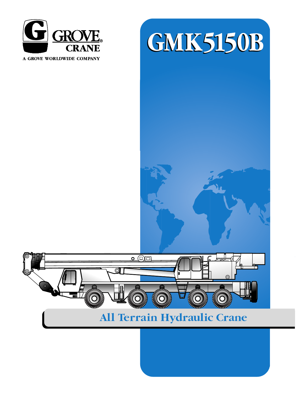

A GROVE WORLDWIDE COMPANY





# All Terrain Hydraulic Crane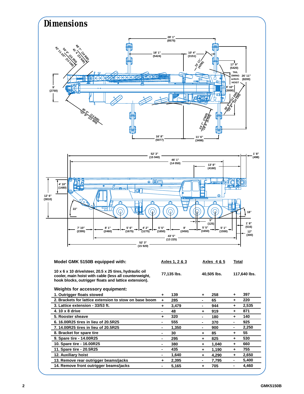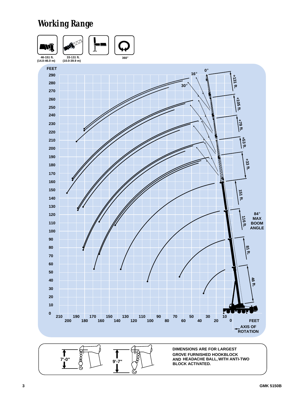# *Working Range*





**DIMENSIONS ARE FOR LARGEST GROVE FURNISHED HOOKBLOCK AND HEADACHE BALL, WITH ANTI-TWO BLOCK ACTIVATED.**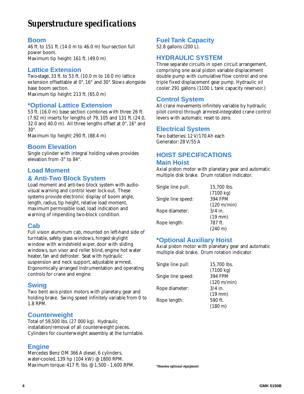# *Superstructure specifications*

#### **Boom**

46 ft. to 151 ft.(14.0 m to 46.0 m) four-section full power boom. Maximum tip height: 161 ft. (49.0 m)

#### **Lattice Extension**

Two-stage, 33 ft. to 53 ft.(10.0 m to 16.0 m) lattice extension offsettable at 0°, 16° and 30°. Stows alongside base boom section. Maximum tip height: 213 ft. (65.0 m)

#### **\*Optional Lattice Extension**

53 ft. (16.0 m) base section combines with three 26 ft. (7.92 m) inserts for lengths of 79, 105 and 131 ft.(24.0, 32.0 and 40.0 m). All three lengths offset at 0°, 16° and 30°.

Maximum tip height: 290 ft. (88.4 m)

#### **Boom Elevation**

Single cylinder with integral holding valves provides elevation from -3° to 84°.

#### **Load Moment & Anti-Two Block System**

Load moment and anti-two block system with audiovisual warning and control lever lock-out. These systems provide electronic display of boom angle, length, radius, tip height, relative load moment, maximum permissible load, load indication and warning of impending two-block condition.

#### **Cab**

Full vision aluminum cab, mounted on left-hand side of turntable, safety glass windows, hinged skylight window with windshield wiper, door with sliding windows, sun visor and roller blind, engine hot water heater, fan and defroster. Seat with hydraulic suspension and neck support, adjustable armrest. Ergonomically arranged instrumentation and operating controls for crane and engine.

#### **Swing**

Two bent axis piston motors with planetary gear and holding brake. Swing speed infinitely variable from 0 to 1.8 RPM.

# **Counterweight**

Total of 59,500 lbs.(27 000 kg). Hydraulic installation/removal of all counterweight pieces. Cylinders for counterweight assembly at the turntable.

# **Engine**

Mercedes Benz OM 366 A diesel, 6 cylinders, water-cooled, 139 hp (104 kW) @ 1800 RPM. Maximum torque: 417 ft. lbs. @ 1,500 - 1,600 RPM.

# **Fuel Tank Capacity**

52.8 gallons (200 L).

#### **HYDRAULIC SYSTEM**

Three separate circuits in open circuit arrangement, comprising one axial piston variable displacement double pump with cumulative flow control and one triple fixed displacement gear pump. Hydraulic oil cooler. 291 gallons (1100 L tank capacity reservoir.)

#### **Control System**

All crane movements infinitely variable by hydraulic pilot control through armrest-integrated crane control levers with automatic reset to zero.

#### **Electrical System**

Two batteries: 12 V/170 Ah each Generator: 28 V/55 A

# **HOIST SPECIFICATIONS Main Hoist**

Axial piston motor with planetary gear and automatic multiple disk brake. Drum rotation indicator.

| Single line pull:  | 15,700 lbs.  |
|--------------------|--------------|
|                    | (7100 kg)    |
| Single line speed: | 394 FPM      |
|                    | (120 m/min)  |
| Rope diameter:     | $3/4$ in.    |
|                    | $(19$ mm $)$ |
| Rope length:       | 787 ft.      |
|                    | (240 m)      |

# **\*Optional Auxiliary Hoist**

Axial piston motor with planetary gear and automatic multiple disk brake. Drum rotation indicator.

| Single line pull:  | 15,700 lbs. |
|--------------------|-------------|
|                    | (7100 kg)   |
| Single line speed: | 394 FPM     |
|                    | (120 m/min) |
| Rope diameter:     | $3/4$ in.   |
|                    | $(19$ mm)   |
| Rope length:       | 590 ft.     |
|                    | (180 m)     |

*\*Denotes optional equipment*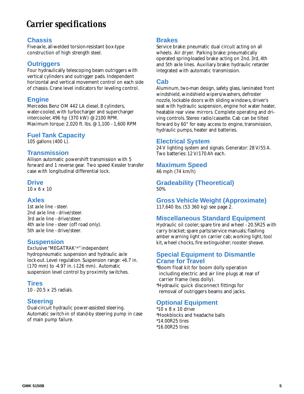# *Carrier specifications*

#### **Chassis**

Five-axle, all-welded torsion-resistant box-type construction of high strength steel.

#### **Outriggers**

Four hydraulically telescoping beam outriggers with vertical cylinders and outrigger pads. Independent horizontal and vertical movement control on each side of chassis. Crane level indicators for leveling control.

# **Engine**

Mercedes Benz OM 442 LA diesel, 8 cylinders, water-cooled, with turbocharger and supercharger intercooler, 496 hp (370 kW) @ 2100 RPM. Maximum torque: 2,020 ft. lbs. @ 1,100 - 1,600 RPM

# **Fuel Tank Capacity**

105 gallons (400 L).

# **Transmission**

Allison automatic powershift transmission with 5 forward and 1 reverse gear. Two speed Kessler transfer case with longitudinal differential lock.

#### **Drive**

10 x 6 x 10

#### **Axles**

1st axle line - steer. 2nd axle line - drive/steer. 3rd axle line - drive/steer. 4th axle line - steer (off road only). 5th axle line - drive/steer.

#### **Suspension**

Exclusive "MEGATRAK™" independent hydropneumatic suspension and hydraulic axle lock-out. Level regulation. Suspension range: +6.7 in. (170 mm) to -4.97 in.(-126 mm). Automatic suspension level control by proximity switches.

# **Tires**

10 - 20.5 x 25 radials.

# **Steering**

Dual-circuit hydraulic power-assisted steering. Automatic switch-in of stand-by steering pump in case of main pump failure.

#### **Brakes**

Service brake: pneumatic dual circuit acting on all wheels. Air dryer. Parking brake: pneumatically operated spring-loaded brake acting on 2nd, 3rd, 4th and 5th axle lines. Auxiliary brake: hydraulic retarder integrated with automatic transmission.

#### **Cab**

Aluminum, two-man design, safety glass, laminated front windshield, windshield wipers/washers, defroster nozzle, lockable doors with sliding windows, driver's seat with hydraulic suspension, engine hot water heater, heatable rear view mirrors. Complete operating and driving controls. Stereo radio/cassette. Cab can be tilted forward by 60° for easy access to engine, transmission, hydraulic pumps, heater and batteries.

#### **Electrical System**

24 V lighting system and signals. Generator: 28 V/55 A. Two batteries: 12 V/170 Ah each.

#### **Maximum Speed**

46 mph (74 km/h)

#### **Gradeability (Theoretical)** 50%

**Gross Vehicle Weight (Approximate)** 117,640 lbs. (53 360 kg) see page 2.

# **Miscellaneous Standard Equipment**

Hydraulic oil cooler;spare tire and wheel - 20.5R25 with carry bracket; spare parts/service manuals; flashing amber warning light on carrier cab; working light, tool kit, wheel chocks, fire extinguisher; rooster sheave.

#### **Special Equipment to Dismantle Crane for Travel**

\*Boom float kit for boom dolly operation including electric and air line plugs at rear of carrier frame (less dolly).

\*Hydraulic quick disconnect fittings for removal of outriggers beams and jacks.

# **Optional Equipment**

\*10 x 8 x 10 drive \*Hookblocks and headache balls \*14.00R25 tires \*16.00R25 tires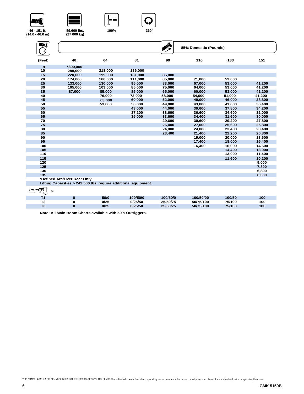









**46 - 151 ft. (14.0 - 46.0 m)**

| WÎ<br>$\rightarrow$ |                                                                 |         |         |        | 85% Domestic (Pounds) |        |        |
|---------------------|-----------------------------------------------------------------|---------|---------|--------|-----------------------|--------|--------|
| (Feet)              | 46                                                              | 64      | 81      | 99     | 116                   | 133    | 151    |
| 9                   | $*300.000$                                                      |         |         |        |                       |        |        |
| 10                  | 288,000                                                         | 218,000 | 136,000 |        |                       |        |        |
| 15                  | 220,000                                                         | 199,000 | 131,000 | 85,000 |                       |        |        |
| 20                  | 174,000                                                         | 166,000 | 111,000 | 85,000 | 71,000                | 53,000 |        |
| 25                  | 133,000                                                         | 130,000 | 95,000  | 83,000 | 67,000                | 53,000 | 41,200 |
| 30                  | 105,000                                                         | 103,000 | 85,000  | 75,000 | 64,000                | 53,000 | 41,200 |
| 35                  | 87,000                                                          | 85,000  | 85,000  | 65,000 | 60,000                | 53,000 | 41,200 |
| 40                  |                                                                 | 76,000  | 73,000  | 58,000 | 54,000                | 51,000 | 41,200 |
| 45                  |                                                                 | 63,000  | 60,000  | 52,000 | 49,000                | 46,000 | 38,800 |
| 50                  |                                                                 | 53,000  | 50,000  | 49,000 | 43,800                | 41,600 | 36,400 |
| 55                  |                                                                 |         | 43,000  | 44,000 | 39,600                | 37,800 | 34,200 |
| 60                  |                                                                 |         | 37,200  | 38,600 | 36,600                | 34,600 | 32,000 |
| 65                  |                                                                 |         | 35,000  | 33,600 | 34,400                | 31,600 | 30,000 |
| 70                  |                                                                 |         |         | 29,600 | 30,600                | 29,200 | 27,800 |
| 75                  |                                                                 |         |         | 26,400 | 27,000                | 25,600 | 25,800 |
| 80                  |                                                                 |         |         | 24,800 | 24,000                | 23,400 | 23,400 |
| 85                  |                                                                 |         |         | 23,400 | 21,400                | 22,200 | 20,800 |
| 90                  |                                                                 |         |         |        | 19,000                | 20,000 | 18,600 |
| 95                  |                                                                 |         |         |        | 17,400                | 18,000 | 16,400 |
| 100                 |                                                                 |         |         |        | 16,400                | 16,000 | 14,600 |
| 105                 |                                                                 |         |         |        |                       | 14,400 | 13,000 |
| 110                 |                                                                 |         |         |        |                       | 13,000 | 11,400 |
| 115                 |                                                                 |         |         |        |                       | 11,600 | 10,200 |
| 120                 |                                                                 |         |         |        |                       |        | 9,000  |
| 125                 |                                                                 |         |         |        |                       |        | 7,800  |
| 130                 |                                                                 |         |         |        |                       |        | 6,800  |
| 135                 |                                                                 |         |         |        |                       |        | 6,000  |
|                     | *Defined Arc/Over Rear Only                                     |         |         |        |                       |        |        |
|                     | Lifting Capacities > 242,500 lbs. require additional equipment. |         |         |        |                       |        |        |

| ╰                     |      |          |          |           |        |     |
|-----------------------|------|----------|----------|-----------|--------|-----|
| <b>т.</b>             | 50/0 | 100/50/0 | 100/50/0 | 100/50/00 | 100/50 | 100 |
| T <sub>2</sub><br>. . | 0/25 | )/25/50  | 25/50/75 | 50/75/100 | 75/100 | 100 |
| To.<br>and the pro-   | 0/25 | 125/50   | 25/50/75 | 50/75/100 | 75/100 | 100 |
|                       |      |          |          |           |        |     |

**Note: All Main Boom Charts available with 50% Outriggers.**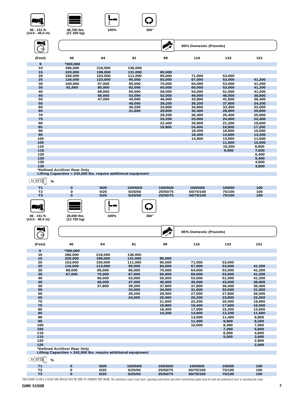







**100% 360**°

**ENT**  $\Theta$ **9**<br>**10** 

| ШÎ     |                                                                |         |         | 的      | 85% Domestic (Pounds) |        |        |
|--------|----------------------------------------------------------------|---------|---------|--------|-----------------------|--------|--------|
| (Feet) | 46                                                             | 64      | 81      | 99     | 116                   | 133    | 151    |
| 9      | *300,000                                                       |         |         |        |                       |        |        |
| 10     | 286,000                                                        | 218,000 | 136,000 |        |                       |        |        |
| 15     | 220,000                                                        | 199,000 | 131,000 | 85,000 |                       |        |        |
| 20     | 166,000                                                        | 163,000 | 111,000 | 85.000 | 71,000                | 53,000 |        |
| 25     | 126,000                                                        | 123,000 | 95,000  | 83,000 | 67,000                | 53,000 | 41,200 |
| 30     | 100,000                                                        | 97,000  | 85,000  | 75,000 | 64.000                | 53,000 | 41,200 |
| 35     | 81,000                                                         | 85,000  | 82,000  | 65,000 | 60,000                | 53,000 | 41,200 |
| 40     |                                                                | 68,000  | 65,000  | 58,000 | 54.000                | 51,000 | 41,200 |
| 45     |                                                                | 56,000  | 53,000  | 52,000 | 49,000                | 46,000 | 38,800 |
| 50     |                                                                | 47,000  | 45,000  | 46,000 | 43,800                | 41,600 | 36,400 |
| 55     |                                                                |         | 40.000  | 39.200 | 39.200                | 37.800 | 34.200 |
| 60     |                                                                |         | 36,200  | 33,800 | 34,800                | 33,400 | 32,000 |
| 65     |                                                                |         | 31,600  | 29,800 | 30,400                | 28,800 | 29,800 |
| 70     |                                                                |         |         | 28,200 | 26,400                | 26,400 | 25,800 |
| 75     |                                                                |         |         | 25,200 | 23,000                | 24,000 | 22,400 |
| 80     |                                                                |         |         | 22,400 | 20,800                | 21,200 | 19,600 |
| 85     |                                                                |         |         | 19,800 | 19,400                | 18,800 | 17,200 |
| 90     |                                                                |         |         |        | 18,200                | 16,600 | 15,000 |
| 95     |                                                                |         |         |        | 16,400                | 14,600 | 13,200 |
| 100    |                                                                |         |         |        | 14,800                | 13,000 | 11,600 |
| 105    |                                                                |         |         |        |                       | 11,600 | 10,000 |
| 110    |                                                                |         |         |        |                       | 10.200 | 8,800  |
| 115    |                                                                |         |         |        |                       | 9,000  | 7,600  |
| 120    |                                                                |         |         |        |                       |        | 6,400  |
| 125    |                                                                |         |         |        |                       |        | 5.400  |
| 130    |                                                                |         |         |        |                       |        | 4,600  |
| 135    |                                                                |         |         |        |                       |        | 3,800  |
|        | *Defined Arc/Over Rear Only                                    |         |         |        |                       |        |        |
|        | Lifting Capacities > 242,500 lbs. require additional equipment |         |         |        |                       |        |        |

**T1 T2 T3 %**

| -              |             |      |             |          |           |        |     |
|----------------|-------------|------|-------------|----------|-----------|--------|-----|
| T <sub>1</sub> | U           | 50/0 | 100/50/0    | 100/50/0 | 100/50/0  | 100/50 | 100 |
| T2             | 0           | 0/25 | 0/25/50     | 25/50/75 | 50/75/100 | 75/100 | 100 |
| T <sub>3</sub> | o           | 0/25 | 0/25/50     | 25/50/75 | 50/75/100 | 75/100 | 100 |
| −ъ.            |             | --   |             |          |           |        |     |
| 46 - 151 ft.   | 28,000 lbs. | 100% | $360^\circ$ |          |           |        |     |

**46 - 151 ft. (14.0 - 46.0 m)**

**28,000 lbs. (12 700 kg)**

| WÎ<br>$\longrightarrow$ |                                                                |         |         | 變      | 85% Domestic (Pounds) |        |        |
|-------------------------|----------------------------------------------------------------|---------|---------|--------|-----------------------|--------|--------|
| (Feet)                  | 46                                                             | 64      | 81      | 99     | 116                   | 133    | 151    |
| 9                       | *300,000                                                       |         |         |        |                       |        |        |
| 10                      | 286.000                                                        | 218,000 | 136,000 |        |                       |        |        |
| 15                      | 220,000                                                        | 199,000 | 131,000 | 85,000 |                       |        |        |
| 20                      | 153.000                                                        | 150.000 | 111,000 | 85,000 | 71,000                | 53,000 |        |
| 25                      | 116,000                                                        | 113,000 | 95,000  | 83,000 | 67,000                | 53,000 | 41,200 |
| 30                      | 88,000                                                         | 85,000  | 85,000  | 75,000 | 64,000                | 53,000 | 41,200 |
| 35                      | 67,000                                                         | 70,000  | 67,000  | 65,000 | 60,000                | 53,000 | 41,200 |
| 40                      |                                                                | 56,000  | 53,000  | 55,000 | 53,000                | 51,000 | 41,200 |
| 45                      |                                                                | 46,000  | 47,000  | 45,000 | 45,000                | 43,600 | 38,800 |
| 50                      |                                                                | 37,800  | 39,200  | 37,800 | 37,800                | 36,400 | 36,400 |
| 55                      |                                                                |         | 33,000  | 34,000 | 31,600                | 32,600 | 31,000 |
| 60                      |                                                                |         | 28,200  | 29,000 | 27,000                | 27,800 | 26,000 |
| 65                      |                                                                |         | 24,000  | 25,000 | 25,200                | 23,800 | 22,000 |
| 70                      |                                                                |         |         | 21,600 | 22,200                | 20,400 | 18,800 |
| 75                      |                                                                |         |         | 18,800 | 19,400                | 17,600 | 16,000 |
| 80                      |                                                                |         |         | 16.400 | 17,000                | 15,200 | 13,600 |
| 85                      |                                                                |         |         | 14,200 | 14,800                | 13,200 | 11,600 |
| 90                      |                                                                |         |         |        | 13,000                | 11,400 | 9,800  |
| 95                      |                                                                |         |         |        | 11,400                | 9,800  | 8,200  |
| 100                     |                                                                |         |         |        | 10,000                | 8,400  | 7,000  |
| 105                     |                                                                |         |         |        |                       | 7,200  | 5,600  |
| 110                     |                                                                |         |         |        |                       | 6,000  | 4,600  |
| 115                     |                                                                |         |         |        |                       | 5,000  | 3,600  |
| 120                     |                                                                |         |         |        |                       |        | 2,800  |
| 125                     |                                                                |         |         |        |                       |        | 2,000  |
|                         | *Defined Arc/Over Rear Only                                    |         |         |        |                       |        |        |
|                         | Lifting Capacities > 242,500 lbs. require additional equipment |         |         |        |                       |        |        |

**T1 T2 T3 %**

| ت -                 |      |          |          |           |        |     |
|---------------------|------|----------|----------|-----------|--------|-----|
|                     | 50/0 | 100/50/0 | 100/50/0 | 100/50/0  | 100/50 | 100 |
| $\mathbf{r}$<br>' 4 | 0/25 | 0/25/50  | 25/50/75 | 50/75/100 | 75/100 | 100 |
| <b>START</b><br>. . | 0/25 | 0/25/50  | 25/50/75 | 50/75/100 | 75/100 | 100 |

THIS CHART IS ONLY A GUIDE AND SHOULD NOT BE USED TO OPERATE THE CRANE. The individual crane's load chart, operating instructions and other instructional plates must be read and understood prior to operating the crane.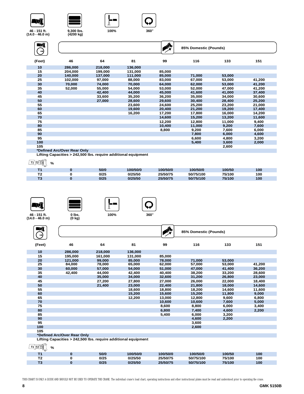



Г





**100% 360**°



| 46<br>64<br>99<br>151<br>81<br>116<br>133<br>(Feet)<br>10<br>218,000<br>136,000<br>286,000<br>15<br>85,000<br>204,000<br>199,000<br>131,000<br>20<br>111,000<br>85,000<br>71,000<br>53,000<br>140,000<br>137,000<br>25<br>41,200<br>102,000<br>97,000<br>88,000<br>83,000<br>67,000<br>53,000<br>30<br>70,000<br>70,000<br>64,000<br>62,000<br>53,000<br>41,200<br>74,000<br>35<br>52,000<br>55,000<br>54,000<br>53,000<br>52,000<br>47,000<br>41,200<br>40<br>42,400<br>44,000<br>45,000<br>41,600<br>41,000<br>37,400<br>45<br>33,600<br>35,200<br>36,200<br>35,000<br>34,000<br>30,600<br>50<br>27,000<br>28,600<br>29,600<br>30,400<br>28,400<br>25,200<br>55<br>24,600<br>25,200<br>23,200<br>21,000<br>23,600<br>60<br>19,600<br>20,400<br>21,200<br>19,200<br>17,400<br>65<br>16,200<br>17,200<br>17,800<br>16,000<br>14,200<br>70<br>14,600<br>15,200<br>13,200<br>11,600<br>75<br>12,200<br>12,800<br>11,000<br>9,400<br>80<br>11,000<br>7,600<br>10,400<br>9,200<br>85<br>8,800<br>9,200<br>7,600<br>6,000<br>90<br>4,600<br>7,800<br>6,000<br>95<br>6,600<br>4,800<br>3,200 | ENT<br>⇥ |  | ♦ | 85% Domestic (Pounds) |       |       |
|----------------------------------------------------------------------------------------------------------------------------------------------------------------------------------------------------------------------------------------------------------------------------------------------------------------------------------------------------------------------------------------------------------------------------------------------------------------------------------------------------------------------------------------------------------------------------------------------------------------------------------------------------------------------------------------------------------------------------------------------------------------------------------------------------------------------------------------------------------------------------------------------------------------------------------------------------------------------------------------------------------------------------------------------------------------------------------------|----------|--|---|-----------------------|-------|-------|
|                                                                                                                                                                                                                                                                                                                                                                                                                                                                                                                                                                                                                                                                                                                                                                                                                                                                                                                                                                                                                                                                                        |          |  |   |                       |       |       |
|                                                                                                                                                                                                                                                                                                                                                                                                                                                                                                                                                                                                                                                                                                                                                                                                                                                                                                                                                                                                                                                                                        |          |  |   |                       |       |       |
|                                                                                                                                                                                                                                                                                                                                                                                                                                                                                                                                                                                                                                                                                                                                                                                                                                                                                                                                                                                                                                                                                        |          |  |   |                       |       |       |
|                                                                                                                                                                                                                                                                                                                                                                                                                                                                                                                                                                                                                                                                                                                                                                                                                                                                                                                                                                                                                                                                                        |          |  |   |                       |       |       |
|                                                                                                                                                                                                                                                                                                                                                                                                                                                                                                                                                                                                                                                                                                                                                                                                                                                                                                                                                                                                                                                                                        |          |  |   |                       |       |       |
|                                                                                                                                                                                                                                                                                                                                                                                                                                                                                                                                                                                                                                                                                                                                                                                                                                                                                                                                                                                                                                                                                        |          |  |   |                       |       |       |
|                                                                                                                                                                                                                                                                                                                                                                                                                                                                                                                                                                                                                                                                                                                                                                                                                                                                                                                                                                                                                                                                                        |          |  |   |                       |       |       |
|                                                                                                                                                                                                                                                                                                                                                                                                                                                                                                                                                                                                                                                                                                                                                                                                                                                                                                                                                                                                                                                                                        |          |  |   |                       |       |       |
|                                                                                                                                                                                                                                                                                                                                                                                                                                                                                                                                                                                                                                                                                                                                                                                                                                                                                                                                                                                                                                                                                        |          |  |   |                       |       |       |
|                                                                                                                                                                                                                                                                                                                                                                                                                                                                                                                                                                                                                                                                                                                                                                                                                                                                                                                                                                                                                                                                                        |          |  |   |                       |       |       |
|                                                                                                                                                                                                                                                                                                                                                                                                                                                                                                                                                                                                                                                                                                                                                                                                                                                                                                                                                                                                                                                                                        |          |  |   |                       |       |       |
|                                                                                                                                                                                                                                                                                                                                                                                                                                                                                                                                                                                                                                                                                                                                                                                                                                                                                                                                                                                                                                                                                        |          |  |   |                       |       |       |
|                                                                                                                                                                                                                                                                                                                                                                                                                                                                                                                                                                                                                                                                                                                                                                                                                                                                                                                                                                                                                                                                                        |          |  |   |                       |       |       |
|                                                                                                                                                                                                                                                                                                                                                                                                                                                                                                                                                                                                                                                                                                                                                                                                                                                                                                                                                                                                                                                                                        |          |  |   |                       |       |       |
|                                                                                                                                                                                                                                                                                                                                                                                                                                                                                                                                                                                                                                                                                                                                                                                                                                                                                                                                                                                                                                                                                        |          |  |   |                       |       |       |
|                                                                                                                                                                                                                                                                                                                                                                                                                                                                                                                                                                                                                                                                                                                                                                                                                                                                                                                                                                                                                                                                                        |          |  |   |                       |       |       |
|                                                                                                                                                                                                                                                                                                                                                                                                                                                                                                                                                                                                                                                                                                                                                                                                                                                                                                                                                                                                                                                                                        |          |  |   |                       |       |       |
|                                                                                                                                                                                                                                                                                                                                                                                                                                                                                                                                                                                                                                                                                                                                                                                                                                                                                                                                                                                                                                                                                        |          |  |   |                       |       |       |
|                                                                                                                                                                                                                                                                                                                                                                                                                                                                                                                                                                                                                                                                                                                                                                                                                                                                                                                                                                                                                                                                                        |          |  |   |                       |       |       |
|                                                                                                                                                                                                                                                                                                                                                                                                                                                                                                                                                                                                                                                                                                                                                                                                                                                                                                                                                                                                                                                                                        | 100      |  |   | 5,400                 | 3,600 | 2,000 |
| 105<br>2,600                                                                                                                                                                                                                                                                                                                                                                                                                                                                                                                                                                                                                                                                                                                                                                                                                                                                                                                                                                                                                                                                           |          |  |   |                       |       |       |

**\*Defined Arc/Over Rear Only**

**Lifting Capacities > 242,500 lbs. require additional equipment**

**T1 T2 T3 %**

| ີ |      |          |          |           |        |     |
|---|------|----------|----------|-----------|--------|-----|
|   | 50/0 | 100/50/0 | 100/50/0 | 100/50/0  | 100/50 | 100 |
|   | 0/25 | 0/25/50  | 25/50/75 | 50/75/100 | 75/100 | 100 |
|   | 0/25 | 0/25/50  | 25/50/75 | 50/75/100 | 75/100 | 100 |







**46 - 151 ft. (14.0 - 46.0 m)**

**0 lbs. (0 kg)**

| WÎ                                                               |                                                                |         |         |        | 85% Domestic (Pounds) |        |        |
|------------------------------------------------------------------|----------------------------------------------------------------|---------|---------|--------|-----------------------|--------|--------|
| (Feet)                                                           | 46                                                             | 64      | 81      | 99     | 116                   | 133    | 151    |
| 10                                                               | 286,000                                                        | 218,000 | 136,000 |        |                       |        |        |
| 15                                                               | 195.000                                                        | 161.000 | 131.000 | 85,000 |                       |        |        |
| 20                                                               | 121,000                                                        | 99,000  | 85,000  | 78,000 | 71.000                | 53,000 |        |
| 25                                                               | 84,000                                                         | 78,000  | 65,000  | 62,000 | 57,000                | 53,000 | 41,200 |
| 30                                                               | 60,000                                                         | 57,000  | 54,000  | 51,000 | 47,000                | 41,400 | 36,200 |
| 35                                                               | 42,400                                                         | 44,000  | 42,400  | 40,400 | 38,200                | 33,200 | 28,600 |
| 40                                                               |                                                                | 35,000  | 34,000  | 32,600 | 31,200                | 26,800 | 23,000 |
| 45                                                               |                                                                | 27,200  | 27,800  | 27,000 | 26,000                | 22,000 | 18,400 |
| 50                                                               |                                                                | 21,400  | 23,000  | 22,400 | 21,800                | 18,000 | 14,600 |
| 55                                                               |                                                                |         | 18,600  | 18,800 | 18,200                | 14,600 | 11,600 |
| 60                                                               |                                                                |         | 15,200  | 15,600 | 15,200                | 11,800 | 9,000  |
| 65                                                               |                                                                |         | 12,200  | 13,000 | 12,800                | 9,600  | 6,800  |
| 70                                                               |                                                                |         |         | 10,600 | 10,600                | 7,600  | 5,000  |
| 75                                                               |                                                                |         |         | 8,600  | 8,800                 | 6,000  | 3,400  |
| 80                                                               |                                                                |         |         | 6,800  | 7,400                 | 4,600  | 2,200  |
| 85                                                               |                                                                |         |         | 5,400  | 6.000                 | 3.200  |        |
| 90                                                               |                                                                |         |         |        | 4,600                 | 2,200  |        |
| 95                                                               |                                                                |         |         |        | 3,600                 |        |        |
| 100                                                              |                                                                |         |         |        | 2,600                 |        |        |
| 105                                                              |                                                                |         |         |        |                       |        |        |
|                                                                  | *Defined Arc/Over Rear Only                                    |         |         |        |                       |        |        |
|                                                                  | Lifting Capacities > 242,500 lbs. require additional equipment |         |         |        |                       |        |        |
| $\overline{T1}$ $\overline{12}$ $\overline{13}$<br>$\frac{9}{6}$ |                                                                |         |         |        |                       |        |        |

| $\sim$           |      |          |          |           |        |     |
|------------------|------|----------|----------|-----------|--------|-----|
|                  | 50/0 | 100/50/0 | 100/50/0 | 100/50/0  | 100/50 | 100 |
| <b>-0</b><br>. . | 0/25 | 0/25/50  | 25/50/75 | 50/75/100 | 75/100 | 100 |
|                  | 0/25 | 0/25/50  | 25/50/75 | 50/75/100 | 75/100 | 100 |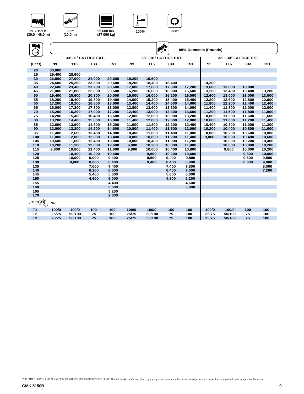









| WÎ                                                                      |        |        |                       |        |        |                        | ♠      |                       |        |                        |        |        |
|-------------------------------------------------------------------------|--------|--------|-----------------------|--------|--------|------------------------|--------|-----------------------|--------|------------------------|--------|--------|
|                                                                         |        |        |                       |        |        |                        |        | 85% Domestic (Pounds) |        |                        |        |        |
|                                                                         |        |        | 33' - 0° LATTICE EXT. |        |        | 33' - 16° LATTICE EXT. |        |                       |        | 33' - 30° LATTICE EXT. |        |        |
| (Feet)                                                                  | 99     | 116    | 133                   | 151    | 99     | 116                    | 133    | 151                   | 99     | 116                    | 133    | 151    |
| 20                                                                      | 30,800 |        |                       |        |        |                        |        |                       |        |                        |        |        |
| 25                                                                      | 29,400 | 28,600 |                       |        |        |                        |        |                       |        |                        |        |        |
| 30                                                                      | 26,800 | 27,000 | 24,000                | 20,600 | 19,200 | 19,600                 |        |                       |        |                        |        |        |
| 35                                                                      | 24,600 | 25,200 | 23,800                | 20,600 | 18,200 | 18,400                 | 18,400 |                       | 14,200 |                        |        |        |
| 40                                                                      | 22,600 | 23,400 | 23,200                | 20,600 | 17,000 | 17,600                 | 17,600 | 17,200                | 13,600 | 13,800                 | 13,800 |        |
| 45                                                                      | 21,000 | 21,800 | 22,000                | 20,600 | 16,200 | 16,600                 | 16,800 | 16,600                | 13,200 | 13,400                 | 13,400 | 13,200 |
| 50                                                                      | 19,400 | 20,600 | 20,800                | 20,000 | 15,000 | 16,000                 | 16,200 | 16,000                | 12,600 | 13,000                 | 13.000 | 13,000 |
| 55                                                                      | 18,200 | 19,400 | 19,800                | 19,400 | 14,000 | 15,200                 | 15,400 | 15,400                | 12,200 | 12,600                 | 12,800 | 12,600 |
| 60                                                                      | 17,200 | 18,200 | 18,800                | 18,600 | 13,400 | 14,400                 | 14,600 | 14,600                | 11,800 | 12,200                 | 12,400 | 12,400 |
| 65                                                                      | 16,000 | 17,200 | 17,800                | 18,000 | 12,800 | 13,600                 | 13,800 | 14,000                | 11,400 | 11,800                 | 12,000 | 12,000 |
| 70                                                                      | 15,200 | 16,200 | 17.000                | 17,200 | 12,400 | 13,000                 | 13,400 | 13,600                | 11,200 | 11,600                 | 11,800 | 11,800 |
| 75                                                                      | 14,200 | 15,400 | 16,400                | 16,600 | 12,000 | 12,600                 | 13,000 | 13,200                | 10,800 | 11,200                 | 11,600 | 11,600 |
| 80                                                                      | 13,200 | 14,400 | 15,600                | 16,000 | 11,400 | 12,000                 | 12,600 | 12,800                | 10,600 | 11,000                 | 11,200 | 11,400 |
| 85                                                                      | 12,600 | 13,600 | 14,800                | 15,200 | 11,000 | 11,800                 | 12,200 | 12,400                | 10,400 | 10,800                 | 11,000 | 11,200 |
| 90                                                                      | 12,000 | 13,200 | 14,200                | 14,600 | 10,800 | 11,400                 | 11,800 | 12,000                | 10,200 | 10,400                 | 10,800 | 11,000 |
| 95                                                                      | 11,400 | 12,600 | 13,400                | 14,000 | 10,400 | 11,000                 | 11,400 | 11,800                | 10,000 | 10,200                 | 10,600 | 10,800 |
| 100                                                                     | 11,000 | 12,000 | 12,800                | 13,400 | 10,000 | 10,800                 | 11,200 | 11,400                | 9,800  | 10,000                 | 10,400 | 10,600 |
| 105                                                                     | 10,600 | 11,600 | 12,400                | 13,000 | 10,000 | 10,400                 | 11,000 | 11,200                |        | 10,000                 | 10,200 | 10,400 |
| 110                                                                     | 10,200 | 11,200 | 12,000                | 12,600 | 9,800  | 10,200                 | 10,800 | 11,000                |        | 10,000                 | 10,000 | 10,200 |
| 115                                                                     | 9,800  | 10,800 | 11,400                | 11,600 | 9,800  | 10,000                 | 10,400 | 10,800                |        | 9,800                  | 10,000 | 10,200 |
| 120                                                                     |        | 10,400 | 10,200                | 10,400 |        | 9,800                  | 10,200 | 10,600                |        |                        | 9,800  | 10,000 |
| 125                                                                     |        | 10,000 | 9,000                 | 9,400  |        | 9,600                  | 9,400  | 9,800                 |        |                        | 9,600  | 9,800  |
| 130                                                                     |        | 9,600  | 8,000                 | 8,400  |        | 9,400                  | 8,400  | 8,800                 |        |                        | 8,600  | 9,000  |
| 135                                                                     |        |        | 7,000                 | 7,400  |        |                        | 7,400  | 7,800                 |        |                        |        | 8,000  |
| 140                                                                     |        |        | 6,200                 | 6,600  |        |                        | 6,400  | 7,000                 |        |                        |        | 7,200  |
| 145                                                                     |        |        | 5,400                 | 5,800  |        |                        | 5,600  | 6,000                 |        |                        |        |        |
| 150                                                                     |        |        | 4,600                 | 5,000  |        |                        | 4,800  | 5,200                 |        |                        |        |        |
| 155                                                                     |        |        |                       | 4,400  |        |                        |        | 4,600                 |        |                        |        |        |
| 160                                                                     |        |        |                       | 3,600  |        |                        |        | 3,800                 |        |                        |        |        |
| 165                                                                     |        |        |                       | 3,200  |        |                        |        |                       |        |                        |        |        |
| 170                                                                     |        |        |                       | 2,600  |        |                        |        |                       |        |                        |        |        |
| $\frac{1}{\text{Tr}\left[\text{Tr}\left(\frac{1}{2}\right)\right]^{2}}$ | $\%$   |        |                       |        |        |                        |        |                       |        |                        |        |        |
| T <sub>1</sub>                                                          | 100/0  | 100/0  | 100                   | 100    | 100/0  | 100/0                  | 100    | 100                   | 100/0  | 100/0                  | 100    | 100    |
| T <sub>2</sub>                                                          | 25/75  | 50/100 | 75                    | 100    | 25/75  | 50/100                 | 75     | 100                   | 25/75  | 50/100                 | 75     | 100    |
| T <sub>3</sub>                                                          | 25/75  | 50/100 | 75                    | 100    | 25/75  | 50/100                 | 75     | 100                   | 25/75  | 50/100                 | 75     | 100    |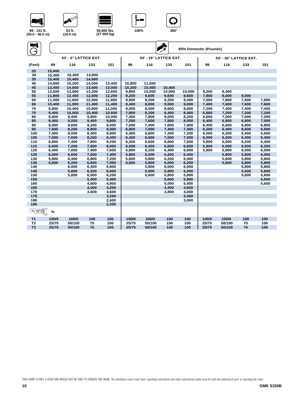









**53 ft. (16.0 m)** 

**ANY OF** 

| WÎ             |                |                       |                  |                  |                |                        | ♣              | 85% Domestic (Pounds) |                |                        |                |                |
|----------------|----------------|-----------------------|------------------|------------------|----------------|------------------------|----------------|-----------------------|----------------|------------------------|----------------|----------------|
|                |                | 53' - 0° LATTICE EXT. |                  |                  |                | 53' - 16° LATTICE EXT. |                |                       |                | 53' - 30° LATTICE EXT. |                |                |
| (Feet)         | 99             | 116                   | 133              | 151              | 99             | 116                    | 133            | 151                   | 99             | 116                    | 133            | 151            |
| 25             | 15,400         |                       |                  |                  |                |                        |                |                       |                |                        |                |                |
| 30             | 15,400         | 15,400                | 14,800           |                  |                |                        |                |                       |                |                        |                |                |
| 35             | 15,400         | 15,400                | 14,600           |                  |                |                        |                |                       |                |                        |                |                |
| 40             | 14,800         | 15,200                | 14,000           | 13,400           | 10,800         | 11,000                 |                |                       |                |                        |                |                |
| 45             | 13,400         | 14,000                | 13,600           | 13,000           | 10,200         | 10,400                 | 10,400         |                       |                |                        |                |                |
| 50             | 12,600         | 13,000                | 13,200           | 12,600           | 9,800          | 10,000                 | 10,000         | 10,000                | 8,200          | 8,400                  |                |                |
| 55<br>60       | 11,800         | 12,400<br>11,600      | 12,600<br>12,000 | 12,200           | 9,200          | 9,600<br>9,200         | 9,600<br>9,200 | 9,600<br>9,400        | 7,800          | 8,000<br>7,800         | 8,000<br>7,800 | 7,800          |
| 65             | 11,000         |                       |                  | 11,800           | 8,800          |                        |                |                       | 7,600          |                        |                |                |
|                | 10,400         | 11,000                | 11,400           | 11,400           | 8,400          | 8,800                  | 9,000          | 9,000                 | 7,400          | 7,600                  | 7,600          | 7,600          |
| 70<br>75       | 9,800          | 10,400                | 10,800           | 11,000           | 8,000          | 8,400                  | 8,600          | 8,800                 | 7,200          | 7,400                  | 7,400          | 7,400          |
| 80             | 9,400<br>8,800 | 10,000<br>9,400       | 10,400<br>9,800  | 10,600<br>10,000 | 7,800<br>7,400 | 8,200<br>7,800         | 8,400<br>8,000 | 8,400<br>8,200        | 6,800<br>6,600 | 7,200<br>7,000         | 7,200<br>7,000 | 7,200<br>7,200 |
| 85             | 8,400          | 9,000                 | 9,400            | 9,800            | 7,200          | 7,600                  | 7,800          | 8,000                 | 6,400          | 6,800                  | 6,800          | 7,000          |
| 90             | 8,000          | 8,600                 | 9,200            | 9,400            | 7,000          | 7,400                  | 7,600          | 7,800                 | 6,400          | 6,600                  | 6,800          | 6,800          |
| 95             | 7,600          | 8,200                 | 8,800            | 9,000            | 6,800          | 7,000                  | 7,400          | 7,400                 | 6,200          | 6,400                  | 6,600          | 6,600          |
| 100            | 7,400          | 8,000                 | 8,400            | 8,800            | 6,400          | 6,800                  | 7,200          | 7,200                 | 6,000          | 6,200                  | 6,400          | 6,600          |
| 105            | 7,000          | 7,600                 | 8,200            | 8,400            | 6,400          | 6,600                  | 7,000          | 7,200                 | 6,000          | 6,200                  | 6,400          | 6,400          |
| 110            | 6,800          | 7,400                 | 7,800            | 8,200            | 6,200          | 6,600                  | 6,800          | 7,000                 | 5,800          | 6,000                  | 6,200          | 6,400          |
| 115            | 6,600          | 7,200                 | 7,600            | 8,000            | 6,000          | 6,400                  | 6,600          | 6,800                 | 5,800          | 6,000                  | 6.000          | 6,200          |
| 120            | 6,400          | 7,000                 | 7,400            | 7,600            | 5,800          | 6,200                  | 6,400          | 6,600                 | 5,800          | 5,800                  | 6,000          | 6,000          |
| 125            | 6,000          | 6,600                 | 7,000            | 7,400            | 5,800          | 6,000                  | 6,200          | 6,400                 |                | 5,800                  | 5,800          | 6,000          |
| 130            | 5,800          | 6,400                 | 6,800            | 7,200            | 5,600          | 5.800                  | 6.200          | 6,400                 |                | 5,600                  | 5,800          | 5,800          |
| 135            | 5,600          | 6,200                 | 6,600            | 7,000            | 5,600          | 5,800                  | 6,000          | 6,200                 |                | 5,600                  | 5,800          | 5,800          |
| 140            |                | 6,000                 | 6,400            | 6,800            |                | 5,800                  | 6,000          | 6,000                 |                |                        | 5,800          | 5,800          |
| 145            |                | 5,800                 | 6,200            | 6,600            |                | 5,600                  | 5,800          | 6,000                 |                |                        | 5,600          | 5,800          |
| 150            |                | 5,800                 | 6,000            | 6,200            |                | 5,600                  | 5,800          | 5,800                 |                |                        | 5,600          | 5,600          |
| 155            |                |                       | 5,400            | 5,400            |                |                        | 5,600          | 5,800                 |                |                        |                | 5,600          |
| 160            |                |                       | 4,600            | 4,800            |                |                        | 5,000          | 5,400                 |                |                        |                | 5,600          |
| 165            |                |                       | 4,000            | 4,200            |                |                        | 4,400          | 4,600                 |                |                        |                |                |
| 170            |                |                       | 3,600            | 3,600            |                |                        | 3,800          | 4,000                 |                |                        |                |                |
| 175            |                |                       |                  | 3,200            |                |                        |                | 3,400                 |                |                        |                |                |
| 180            |                |                       |                  | 2,600            |                |                        |                | 3,000                 |                |                        |                |                |
| 185            |                |                       |                  | 2,200            |                |                        |                |                       |                |                        |                |                |
| $T1$ $T2$ $T3$ | %              |                       |                  |                  |                |                        |                |                       |                |                        |                |                |
| T <sub>1</sub> | 100/0          | 100/0                 | 100              | 100              | 100/0          | 100/0                  | 100            | 100                   | 100/0          | 100/0                  | 100            | 100            |

**T2 25/75 50/100 75 100 25/75 50/100 100 100 25/75 50/100 75 100 T3 25/75 50/100 75 100 25/75 50/100 100 100 25/75 50/100 75 100**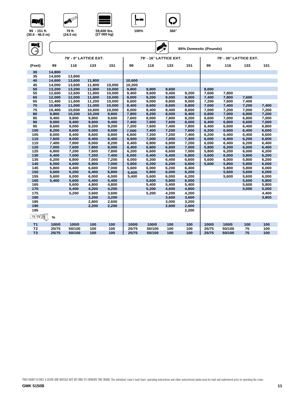









**(24.0 m)** 

**(27 000 kg)**

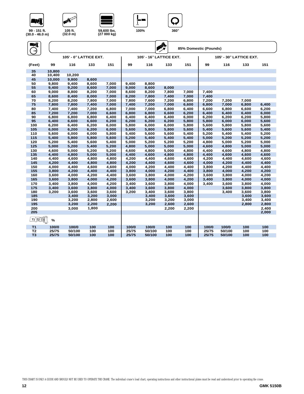







**105 ft. (32.0 m)** 

AVI BOO

**59,600 lbs. (27 000 kg)**

| WÎ<br>$\rightarrow$ |        |                        |       |       |       |                         | $\mathbf{y}$<br>85% Domestic (Pounds) |       |       |                         |       |       |  |
|---------------------|--------|------------------------|-------|-------|-------|-------------------------|---------------------------------------|-------|-------|-------------------------|-------|-------|--|
|                     |        | 105' - 0° LATTICE EXT. |       |       |       | 105' - 16° LATTICE EXT. |                                       |       |       | 105' - 30° LATTICE EXT. |       |       |  |
| (Feet)              | 99     | 116                    | 133   | 151   | 99    | 116                     | 133                                   | 151   | 99    | 116                     | 133   | 151   |  |
| 35                  | 10,800 |                        |       |       |       |                         |                                       |       |       |                         |       |       |  |
| 40                  | 10,400 | 10,200                 |       |       |       |                         |                                       |       |       |                         |       |       |  |
| 45                  | 10,000 | 9,800                  | 8,600 |       |       |                         |                                       |       |       |                         |       |       |  |
| 50                  | 9,800  | 9,400                  | 8,600 | 7,000 | 9,400 | 8,800                   |                                       |       |       |                         |       |       |  |
| 55                  | 9,400  | 9,200                  | 8,600 | 7,000 | 9,000 | 8,600                   | 8,000                                 |       |       |                         |       |       |  |
| 60                  | 9,000  | 8,800                  | 8,200 | 7,000 | 8,600 | 8,200                   | 7,800                                 | 7,000 | 7,400 |                         |       |       |  |
| 65                  | 8,600  | 8,400                  | 8,000 | 7,000 | 8,200 | 7,800                   | 7,400                                 | 7,000 | 7,400 |                         |       |       |  |
| 70                  | 8,200  | 8,200                  | 7,800 | 7,000 | 7,800 | 7,600                   | 7,200                                 | 6,800 | 7,200 | 7,200                   | 7,000 |       |  |
| 75                  | 7,800  | 7,800                  | 7,400 | 7,000 | 7,400 | 7,200                   | 7,000                                 | 6,600 | 6,800 | 7,000                   | 6,800 | 6,400 |  |
| 80                  | 7,400  | 7,400                  | 7,200 | 6,800 | 7,000 | 7,000                   | 6,800                                 | 6,400 | 6,600 | 6,800                   | 6,600 | 6,200 |  |
| 85                  | 7.200  | 7.200                  | 7.000 | 6,600 | 6,800 | 6,800                   | 6.600                                 | 6.200 | 6.400 | 6.400                   | 6.400 | 6,000 |  |
| 90                  | 6,800  | 6,800                  | 6,800 | 6,400 | 6,400 | 6,400                   | 6,400                                 | 6,000 | 6,200 | 6,200                   | 6,200 | 5,800 |  |
| 95                  | 6,400  | 6,600                  | 6,600 | 6,200 | 6,200 | 6,200                   | 6,200                                 | 5,800 | 5,800 | 6,000                   | 6,000 | 5,600 |  |
| 100                 | 6,200  | 6,400                  | 6,200 | 6,000 | 5,800 | 6,000                   | 6,000                                 | 5,800 | 5,600 | 5,800                   | 5,800 | 5,600 |  |
| 105                 | 6,000  | 6,200                  | 6,200 | 6,000 | 5,600 | 5,800                   | 5,800                                 | 5,600 | 5,400 | 5,600                   | 5,600 | 5,400 |  |
| 110                 | 5,600  | 6,000                  | 6,000 | 5,800 | 5,400 | 5,600                   | 5,600                                 | 5,400 | 5,200 | 5,400                   | 5,400 | 5,200 |  |
| 115                 | 5,400  | 5,800                  | 5,800 | 5,600 | 5,200 | 5,400                   | 5,400                                 | 5,400 | 5,000 | 5,200                   | 5,200 | 5,200 |  |
| 120                 | 5,200  | 5,400                  | 5,600 | 5,400 | 5,000 | 5,200                   | 5,200                                 | 5,200 | 4,800 | 5,000                   | 5,200 | 5,000 |  |
| 125                 | 5,000  | 5,200                  | 5,400 | 5,200 | 4,800 | 5,000                   | 5,000                                 | 5,000 | 4,600 | 4,800                   | 5,000 | 5,000 |  |
| 130                 | 4,600  | 5,000                  | 5,200 | 5,200 | 4,600 | 4,800                   | 5,000                                 | 4.800 | 4,400 | 4,600                   | 4,800 | 4,800 |  |
| 135                 | 4,400  | 4,800                  | 5,000 | 5,000 | 4,400 | 4,600                   | 4,800                                 | 4,800 | 4,400 | 4,600                   | 4,600 | 4,600 |  |
| 140                 | 4,400  | 4,600                  | 4,800 | 4,800 | 4,200 | 4,400                   | 4,600                                 | 4,600 | 4,200 | 4,400                   | 4,600 | 4,600 |  |
| 145                 | 4,200  | 4,400                  | 4,800 | 4,800 | 4,200 | 4,400                   | 4,600                                 | 4,600 | 4,000 | 4,200                   | 4,400 | 4,400 |  |
| 150                 | 4,000  | 4,400                  | 4,600 | 4,600 | 4,000 | 4,200                   | 4,400                                 | 4,400 | 3,800 | 4,200                   | 4,400 | 4,400 |  |
| 155                 | 3,800  | 4,200                  | 4,400 | 4,400 | 3,800 | 4,000                   | 4,200                                 | 4,400 | 3,800 | 4,000                   | 4,200 | 4,200 |  |
| 160                 | 3,600  | 4,000                  | 4,200 | 4,400 | 3,600 | 3,800                   | 4,000                                 | 4,200 | 3,600 | 3,800                   | 4,000 | 4,200 |  |
| 165                 | 3,600  | 3,800                  | 4,000 | 4,200 | 3,600 | 3,800                   | 4,000                                 | 4,200 | 3,400 | 3,800                   | 4,000 | 4,000 |  |
| 170                 | 3,400  | 3,800                  | 4,000 | 4,200 | 3,400 | 3,600                   | 3,800                                 | 4,000 | 3,400 | 3,600                   | 3,800 | 4,000 |  |
| 175                 | 3,400  | 3,600                  | 3,800 | 4,000 | 3,400 | 3,600                   | 3,800                                 | 4,000 |       | 3,600                   | 3,800 | 3,800 |  |
| 180                 | 3,200  | 3,600                  | 3,600 | 3,600 | 3,200 | 3,400                   | 3,600                                 | 3,800 |       | 3,400                   | 3,600 | 3,800 |  |
| 185                 |        | 3,400                  | 3,200 | 3,000 |       | 3,400                   | 3,600                                 | 3,600 |       |                         | 3,600 | 3,600 |  |
| 190                 |        | 3,200                  | 2,800 | 2,600 |       | 3,200                   | 3,200                                 | 3,000 |       |                         | 3,400 | 3,400 |  |
| 195                 |        | 3,200                  | 2,200 | 2,200 |       | 3,200                   | 2,600                                 | 2,600 |       |                         | 2,800 | 2,800 |  |
| 200                 |        | 3,000                  | 1,800 |       |       |                         | 2,200                                 | 2,200 |       |                         |       | 2,400 |  |
| 205                 |        |                        |       |       |       |                         |                                       |       |       |                         |       | 2,000 |  |
| <u>T1 T2 T3</u>     | $\%$   |                        |       |       |       |                         |                                       |       |       |                         |       |       |  |
| T <sub>1</sub>      | 100/0  | 100/0                  | 100   | 100   | 100/0 | 100/0                   | 100                                   | 100   | 100/0 | 100/0                   | 100   | 100   |  |
| T <sub>2</sub>      | 25/75  | 50/100                 | 100   | 100   | 25/75 | 50/100                  | 100                                   | 100   | 25/75 | 50/100                  | 100   | 100   |  |

**T3 25/75 50/100 100 100 25/75 50/100 100 100 25/75 50/100 100 100**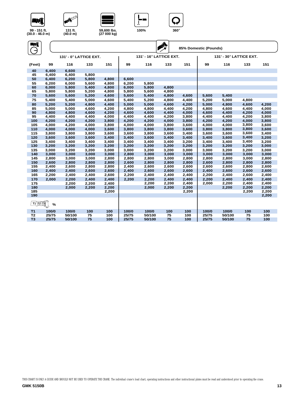



**131 ft. (40.0 m)** 

W





**99 - 151 ft. (30.0 - 46.0 m)**

| NÎ             |             |                        |       |       |       |                         | $\sum_{i=1}^{n}$ |       | 85% Domestic (Pounds) |                         |       |       |
|----------------|-------------|------------------------|-------|-------|-------|-------------------------|------------------|-------|-----------------------|-------------------------|-------|-------|
|                |             | 131' - 0° LATTICE EXT. |       |       |       | 131' - 16° LATTICE EXT. |                  |       |                       | 131' - 30° LATTICE EXT. |       |       |
| (Feet)         | 99          | 116                    | 133   | 151   | 99    | 116                     | 133              | 151   | 99                    | 116                     | 133   | 151   |
| 40             | 6,400       | 6,600                  |       |       |       |                         |                  |       |                       |                         |       |       |
| 45             | 6,400       | 6,400                  | 5,800 |       |       |                         |                  |       |                       |                         |       |       |
| 50             | 6,400       | 6,200                  | 5,800 | 4,800 | 6,600 |                         |                  |       |                       |                         |       |       |
| 55             | 6,200       | 6,000                  | 5.600 | 4,800 | 6,200 | 5,800                   |                  |       |                       |                         |       |       |
| 60             | 6,000       | 5,800                  | 5,400 | 4,800 | 6,000 | 5,800                   | 4,800            |       |                       |                         |       |       |
| 65             | 5,800       | 5,800                  | 5,200 | 4,800 | 5,800 | 5,600                   | 4,800            |       |                       |                         |       |       |
| 70             | 5,600       | 5,600                  | 5,200 | 4,600 | 5,600 | 5,400                   | 4,800            | 4,600 | 5,600                 | 5,400                   |       |       |
| 75             | 5,400       | 5,400                  | 5,000 | 4,600 | 5,400 | 5,200                   | 4,800            | 4,400 | 5,200                 | 5,000                   | 4,800 |       |
| 80             | 5,200       | 5,200                  | 4,800 | 4,400 | 5,000 | 5,000                   | 4,600            | 4,200 | 5,000                 | 4,800                   | 4,600 | 4,200 |
| 85             | 5,000       | 5,000                  | 4,600 | 4,200 | 4,800 | 4,800                   | 4,400            | 4,200 | 4,800                 | 4,600                   | 4,400 | 4,000 |
| 90             | 4,800       | 4,800                  | 4,600 | 4,200 | 4,600 | 4,600                   | 4,400            | 4,000 | 4,600                 | 4,400                   | 4,200 | 4,000 |
| 95             | 4,400       | 4,400                  | 4,400 | 4,000 | 4,400 | 4,400                   | 4,200            | 3,800 | 4,400                 | 4,400                   | 4,200 | 3,800 |
| 100            | 4,200       | 4,200                  | 4,200 | 3,800 | 4,200 | 4,200                   | 4,000            | 3,800 | 4,200                 | 4,200                   | 4,000 | 3,800 |
| 105            | 4,000       | 4,200                  | 4,000 | 3,800 | 4,000 | 4,000                   | 3,800            | 3,600 | 4,000                 | 4,000                   | 3,800 | 3,600 |
| 110            | 4,000       | 4,000                  | 4,000 | 3,600 | 3,800 | 3,800                   | 3,800            | 3,600 | 3,800                 | 3,800                   | 3,800 | 3,600 |
| 115            | 3,800       | 3,800                  | 3,800 | 3,600 | 3,600 | 3,800                   | 3,600            | 3,400 | 3,600                 | 3,600                   | 3,600 | 3,400 |
| 120            | 3,600       | 3,600                  | 3,600 | 3,400 | 3,400 | 3,600                   | 3,400            | 3,400 | 3,400                 | 3,600                   | 3,400 | 3,200 |
| 125            | 3,400       | 3,400                  | 3,400 | 3,400 | 3,400 | 3,400                   | 3,400            | 3,200 | 3,400                 | 3,400                   | 3,400 | 3,200 |
| 130            | 3,200       | 3,200                  | 3,200 | 3,200 | 3,200 | 3,200                   | 3,200            | 3,200 | 3,200                 | 3,200                   | 3,200 | 3,000 |
| 135            | 3,000       | 3,200                  | 3,200 | 3,000 | 3,000 | 3,200                   | 3,200            | 3,000 | 3,000                 | 3,200                   | 3,200 | 3,000 |
| 140            | 3,000       | 3,000                  | 3,000 | 3,000 | 2,800 | 3,000                   | 3,000            | 3,000 | 3,000                 | 3,000                   | 3,000 | 3,000 |
| 145            | 2,800       | 3,000                  | 3,000 | 2,800 | 2,800 | 2,800                   | 3,000            | 2,800 | 2,800                 | 2,800                   | 3,000 | 2,800 |
| 150            | 2,600       | 2,800                  | 2,800 | 2,800 | 2,600 | 2,800                   | 2,800            | 2,800 | 2,600                 | 2,800                   | 2,800 | 2,800 |
| 155            | 2,400       | 2,600                  | 2,800 | 2,800 | 2,400 | 2,600                   | 2,600            | 2,600 | 2,600                 | 2,600                   | 2,800 | 2,600 |
| 160            | 2,400       | 2,400                  | 2,600 | 2,600 | 2,400 | 2,600                   | 2,600            | 2,600 | 2,400                 | 2,600                   | 2,600 | 2,600 |
| 165            | 2,200       | 2,400                  | 2,400 | 2,600 | 2,200 | 2,400                   | 2,400            | 2,400 | 2,200                 | 2,400                   | 2,600 | 2,400 |
| 170            | 2.000       | 2,200                  | 2,400 | 2,400 | 2,200 | 2,200                   | 2,400            | 2,400 | 2,200                 | 2,400                   | 2.400 | 2,400 |
| 175            |             | 2,200                  | 2,200 | 2,400 |       | 2,200                   | 2,200            | 2,400 | 2,000                 | 2,200                   | 2,400 | 2,400 |
| 180            |             | 2,000                  | 2,200 | 2,200 |       | 2,000                   | 2,200            | 2,200 |                       | 2,200                   | 2,200 | 2,200 |
| 185            |             |                        |       | 2,200 |       |                         |                  | 2,200 |                       |                         | 2,200 | 2,200 |
| 190            |             |                        |       |       |       |                         |                  |       |                       |                         |       | 2,200 |
| $T1 \T2 \T3$   | $\%$<br>۰o) |                        |       |       |       |                         |                  |       |                       |                         |       |       |
| T <sub>1</sub> | 100/0       | 100/0                  | 100   | 100   | 100/0 | 100/0                   | 100              | 100   | 100/0                 | 100/0                   | 100   | 100   |
| T <sub>2</sub> | 25/75       | 50/100                 | 75    | 100   | 25/75 | 50/100                  | 75               | 100   | 25/75                 | 50/100                  | 75    | 100   |
| T <sub>3</sub> | 25/75       | 50/100                 | 75    | 100   | 25/75 | 50/100                  | 75               | 100   | 25/75                 | 50/100                  | 75    | 100   |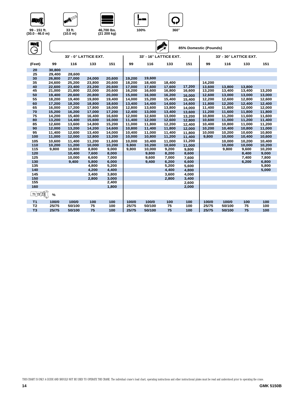



A S





| (30.0 - 46.0 m) |  |  |
|-----------------|--|--|
| Л,              |  |  |

| WÎ<br>$\rightarrow$ |        |        |                       |        |        |                        | <b>SI</b> | 85% Domestic (Pounds) |        |                        |        |        |
|---------------------|--------|--------|-----------------------|--------|--------|------------------------|-----------|-----------------------|--------|------------------------|--------|--------|
|                     |        |        | 33' - 0° LATTICE EXT. |        |        | 33' - 16° LATTICE EXT. |           |                       |        | 33' - 30° LATTICE EXT. |        |        |
| (Feet)              | 99     | 116    | 133                   | 151    | 99     | 116                    | 133       | 151                   | 99     | 116                    | 133    | 151    |
| 20                  | 30,800 |        |                       |        |        |                        |           |                       |        |                        |        |        |
| 25                  | 29,400 | 28,600 |                       |        |        |                        |           |                       |        |                        |        |        |
| 30                  | 26,800 | 27,000 | 24,000                | 20,600 | 19,200 | 19,600                 |           |                       |        |                        |        |        |
| 35                  | 24,600 | 25,200 | 23,800                | 20,600 | 18,200 | 18,400                 | 18,400    |                       | 14,200 |                        |        |        |
| 40                  | 22,600 | 23,400 | 23,200                | 20,600 | 17,000 | 17,600                 | 17,600    | 17,200                | 13,600 | 13,800                 | 13,800 |        |
| 45                  | 21,000 | 21,800 | 22,000                | 20,600 | 16,200 | 16,600                 | 16,800    | 16,600                | 13,200 | 13,400                 | 13,400 | 13,200 |
| 50                  | 19,400 | 20,600 | 20,800                | 20,000 | 15,000 | 16,000                 | 16,200    | 16.000                | 12,600 | 13,000                 | 13,000 | 13,000 |
| 55                  | 18,200 | 19,400 | 19,800                | 19,400 | 14,000 | 15,200                 | 15,400    | 15,400                | 12,200 | 12,600                 | 12,800 | 12,600 |
| 60                  | 17,200 | 18,200 | 18,800                | 18,600 | 13,400 | 14,400                 | 14,600    | 14,600                | 11,800 | 12,200                 | 12,400 | 12,400 |
| 65                  | 16,000 | 17,200 | 17,800                | 18,000 | 12,800 | 13,600                 | 13,800    | 14,000                | 11,400 | 11,800                 | 12,000 | 12,000 |
| 70                  | 15,200 | 16,200 | 17,000                | 17,200 | 12,400 | 13,000                 | 13,400    | 13,600                | 11,200 | 11,600                 | 11,800 | 11,800 |
| 75                  | 14,200 | 15,400 | 16,400                | 16,600 | 12,000 | 12,600                 | 13,000    | 13,200                | 10,800 | 11,200                 | 11,600 | 11,600 |
| 80                  | 13,200 | 14,400 | 15,600                | 16,000 | 11,400 | 12,000                 | 12,600    | 12,800                | 10,600 | 11,000                 | 11,200 | 11,400 |
| 85                  | 12,600 | 13,600 | 14,800                | 15,200 | 11,000 | 11,800                 | 12,200    | 12,400                | 10,400 | 10,800                 | 11,000 | 11,200 |
| 90                  | 12,000 | 13,200 | 14,200                | 14,600 | 10,800 | 11,400                 | 11,800    | 12.000                | 10,200 | 10,400                 | 10,800 | 11,000 |
| 95                  | 11,400 | 12,600 | 13,400                | 14,000 | 10,400 | 11,000                 | 11,400    | 11,800                | 10,000 | 10,200                 | 10,600 | 10,800 |
| 100                 | 11,000 | 12,000 | 12,800                | 13,200 | 10,000 | 10,800                 | 11,200    | 11,400                | 9,800  | 10,000                 | 10,400 | 10,600 |
| 105                 | 10,600 | 11,400 | 11,200                | 11,600 | 10,000 | 10,400                 | 11,000    | 11,200                |        | 10,000                 | 10,200 | 10,400 |
| 110                 | 10,200 | 11,200 | 10,000                | 10,200 | 9,800  | 10,200                 | 10,600    | 11.000                |        | 10,000                 | 10,000 | 10,200 |
| 115                 | 9,800  | 10,800 | 8,800                 | 9,000  | 9,800  | 10,000                 | 9,200     | 9,800                 |        | 9,800                  | 9,600  | 10,200 |
| 120                 |        | 10,400 | 7,600                 | 8,000  |        | 9,800                  | 8,200     | 8,600                 |        |                        | 8,400  | 9,000  |
| 125                 |        | 10,000 | 6,600                 | 7,000  |        | 9,600                  | 7,000     | 7.600                 |        |                        | 7,400  | 7,800  |
| 130                 |        | 9,400  | 5,800                 | 6,000  |        | 9,400                  | 6,200     | 6,600                 |        |                        | 6,200  | 6,800  |
| 135                 |        |        | 4,800                 | 5,200  |        |                        | 5,200     | 5,600                 |        |                        |        | 5,800  |
| 140                 |        |        | 4,200                 | 4,400  |        |                        | 4,400     | 4,800                 |        |                        |        | 5,000  |
| 145                 |        |        | 3,400                 | 3,800  |        |                        | 3,600     | 4,000                 |        |                        |        |        |
| 150                 |        |        | 2,800                 | 3,000  |        |                        | 2,800     | 3,400                 |        |                        |        |        |
| 155                 |        |        |                       | 2,400  |        |                        |           | 2,600                 |        |                        |        |        |
| 160                 |        |        |                       | 1,800  |        |                        |           | 2,000                 |        |                        |        |        |
| $T1 \T2 \T3$        | %      |        |                       |        |        |                        |           |                       |        |                        |        |        |
| T <sub>1</sub>      | 100/0  | 100/0  | 100                   | 100    | 100/0  | 100/0                  | 100       | 100                   | 100/0  | 100/0                  | 100    | 100    |
| T <sub>2</sub>      | 25/75  | 50/100 | 75                    | 100    | 25/75  | 50/100                 | 75        | 100                   | 25/75  | 50/100                 | 75     | 100    |
| T <sub>3</sub>      | 25/75  | 50/100 | 75                    | 100    | 25/75  | 50/100                 | 75        | 100                   | 25/75  | 50/100                 | 75     | 100    |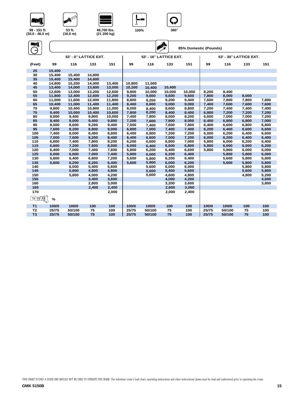









**46,700 lbs. (21 200 kg) 53 ft. 100% <sup>360</sup>**° **(16.0 m)** 

**ANTES** 

| WÎ              |        |        |                       |        |        |                        | A      | 85% Domestic (Pounds) |       |                        |       |       |
|-----------------|--------|--------|-----------------------|--------|--------|------------------------|--------|-----------------------|-------|------------------------|-------|-------|
|                 |        |        | 53' - 0° LATTICE EXT. |        |        | 53' - 16° LATTICE EXT. |        |                       |       | 53' - 30° LATTICE EXT. |       |       |
| (Feet)          | 99     | 116    | 133                   | 151    | 99     | 116                    | 133    | 151                   | 99    | 116                    | 133   | 151   |
| 25              | 15,400 |        |                       |        |        |                        |        |                       |       |                        |       |       |
| 30              | 15,400 | 15,400 | 14,800                |        |        |                        |        |                       |       |                        |       |       |
| 35              | 15,400 | 15,400 | 14,600                |        |        |                        |        |                       |       |                        |       |       |
| 40              | 14,800 | 15,200 | 14,000                | 13,400 | 10,800 | 11,000                 |        |                       |       |                        |       |       |
| 45              | 13,400 | 14,000 | 13,600                | 13,000 | 10,200 | 10,400                 | 10,400 |                       |       |                        |       |       |
| 50              | 12,600 | 13,000 | 13,200                | 12,600 | 9,800  | 10,000                 | 10,000 | 10,000                | 8,200 | 8,400                  |       |       |
| 55              | 11,800 | 12,400 | 12,600                | 12,200 | 9,200  | 9,600                  | 9,600  | 9,600                 | 7,800 | 8,000                  | 8,000 |       |
| 60              | 11,000 | 11,600 | 12,000                | 11,800 | 8,800  | 9,200                  | 9,200  | 9,400                 | 7,600 | 7,800                  | 7,800 | 7,800 |
| 65              | 10,400 | 11,000 | 11,400                | 11,400 | 8,400  | 8,800                  | 9,000  | 9,000                 | 7,400 | 7,600                  | 7,600 | 7,600 |
| 70              | 9,800  | 10,400 | 10,800                | 11,000 | 8,000  | 8,400                  | 8,600  | 8,800                 | 7,200 | 7,400                  | 7,400 | 7,400 |
| 75              | 9,400  | 10,000 | 10,400                | 10,600 | 7,800  | 8,200                  | 8,400  | 8,400                 | 6,800 | 7,200                  | 7,200 | 7,200 |
| 80              | 8,800  | 9,400  | 9,800                 | 10,000 | 7,400  | 7,800                  | 8,000  | 8,200                 | 6,600 | 7,000                  | 7,000 | 7,200 |
| 85              | 8,400  | 9,000  | 9,400                 | 9,800  | 7,200  | 7,600                  | 7,800  | 8,000                 | 6,400 | 6,800                  | 6,800 | 7,000 |
| 90              | 8,000  | 8,600  | 9,200                 | 9,400  | 7,000  | 7,400                  | 7,600  | 7,800                 | 6,400 | 6,600                  | 6,800 | 6,800 |
| 95              | 7,600  | 8,200  | 8,800                 | 9,000  | 6,800  | 7,000                  | 7,400  | 7,400                 | 6,200 | 6,400                  | 6,600 | 6,600 |
| 100             | 7,400  | 8,000  | 8,400                 | 8,800  | 6,400  | 6,800                  | 7,200  | 7,200                 | 6,000 | 6,200                  | 6,400 | 6,600 |
| 105             | 7,000  | 7,600  | 8,200                 | 8,400  | 6,400  | 6,600                  | 7,000  | 7,200                 | 6,000 | 6,200                  | 6,400 | 6,400 |
| 110             | 6,800  | 7,400  | 7,800                 | 8,200  | 6,200  | 6,600                  | 6,800  | 7,000                 | 5,800 | 6,000                  | 6,200 | 6,400 |
| 115             | 6,600  | 7,200  | 7,600                 | 8,000  | 6,000  | 6,400                  | 6,600  | 6,800                 | 5,800 | 6,000                  | 6,000 | 6,200 |
| 120             | 6,400  | 7,000  | 7,400                 | 7,600  | 5,800  | 6,200                  | 6,400  | 6,600                 | 5,800 | 5,800                  | 6,000 | 6,000 |
| 125             | 6,000  | 6,600  | 7,000                 | 7,400  | 5,800  | 6,000                  | 6,200  | 6,400                 |       | 5,800                  | 5,800 | 6,000 |
| 130             | 5,800  | 6,400  | 6,800                 | 7,200  | 5,600  | 5,800                  | 6,200  | 6,400                 |       | 5,600                  | 5,800 | 5,800 |
| 135             | 5,600  | 6,200  | 6,200                 | 6,400  | 5,600  | 5,800                  | 6,000  | 6,200                 |       | 5,600                  | 5,800 | 5,800 |
| 140             |        | 6,000  | 5,400                 | 5,600  |        | 5,600                  | 6,000  | 6,000                 |       |                        | 5,800 | 5,800 |
| 145             |        | 5,800  | 4,800                 | 4,800  |        | 5,600                  | 5,400  | 5,600                 |       |                        | 5,600 | 5,800 |
| 150             |        | 5,800  | 4,000                 | 4,200  |        | 5,600                  | 4,600  | 4,800                 |       |                        | 4,800 | 5,200 |
| 155             |        |        | 3,400                 | 3,600  |        |                        | 4,000  | 4,200                 |       |                        |       | 4,600 |
| 160             |        |        | 2,800                 | 3,000  |        |                        | 3,200  | 3,600                 |       |                        |       | 3,800 |
| 165             |        |        | 2,400                 | 2,400  |        |                        | 2,600  | 3,000                 |       |                        |       |       |
| 170             |        |        |                       | 2,000  |        |                        | 2,000  | 2,400                 |       |                        |       |       |
| <u>11 12 13</u> | $\%$   |        |                       |        |        |                        |        |                       |       |                        |       |       |
| T <sub>1</sub>  | 100/0  | 100/0  | 100                   | 100    | 100/0  | 100/0                  | 100    | 100                   | 100/0 | 100/0                  | 100   | 100   |
| T <sub>2</sub>  | 25/75  | 50/100 | 75                    | 100    | 25/75  | 50/100                 | 75     | 100                   | 25/75 | 50/100                 | 75    | 100   |
| T <sub>3</sub>  | 25/75  | 50/100 | 75                    | 100    | 25/75  | 50/100                 | 75     | 100                   | 25/75 | 50/100                 | 75    | 100   |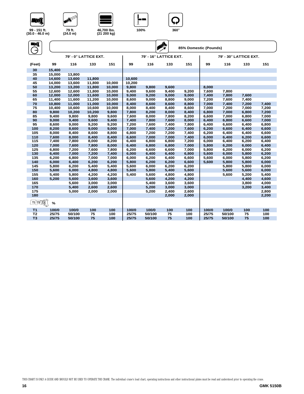



**ANY OF** 





| Eni<br>$\rightarrow$ |               |        |                       |        |        |        | $\sum_{i=1}^{N}$       | 85% Domestic (Pounds) |       |                        |       |       |
|----------------------|---------------|--------|-----------------------|--------|--------|--------|------------------------|-----------------------|-------|------------------------|-------|-------|
|                      |               |        | 79' - 0° LATTICE EXT. |        |        |        | 79' - 16° LATTICE EXT. |                       |       | 79' - 30° LATTICE EXT. |       |       |
| (Feet)               | 99            | 116    | 133                   | 151    | 99     | 116    | 133                    | 151                   | 99    | 116                    | 133   | 151   |
| 30                   | 15,400        |        |                       |        |        |        |                        |                       |       |                        |       |       |
| 35                   | 15,000        | 13,800 |                       |        |        |        |                        |                       |       |                        |       |       |
| 40                   | 14,600        | 13,600 | 11,800                |        | 10,600 |        |                        |                       |       |                        |       |       |
| 45                   | 14,000        | 13,600 | 11,800                | 10,000 | 10,200 |        |                        |                       |       |                        |       |       |
| 50                   | 13,200        | 13,200 | 11,800                | 10,000 | 9,800  | 9,800  | 9,600                  |                       | 8,000 |                        |       |       |
| 55                   | 12,600        | 12,600 | 11,800                | 10,000 | 9,400  | 9,600  | 9,400                  | 9,200                 | 7,600 | 7,800                  |       |       |
| 60                   | 12,000        | 12,000 | 11,600                | 10,000 | 9,000  | 9,200  | 9,000                  | 9,000                 | 7,400 | 7,800                  | 7,600 |       |
| 65                   | 11,400        | 11,600 | 11,200                | 10,000 | 8,600  | 9,000  | 8,800                  | 9,000                 | 7,200 | 7,600                  | 7,400 |       |
| 70                   | 10.800        | 11.000 | 11.000                | 10.000 | 8,400  | 8,600  | 8,600                  | 8,800                 | 7.000 | 7,400                  | 7,200 | 7,400 |
| 75                   | 10,400        | 10,600 | 10,600                | 10,000 | 8,000  | 8,400  | 8,400                  | 8,600                 | 7,000 | 7,200                  | 7,000 | 7,200 |
| 80                   | 9,800         | 10,200 | 10,200                | 9,800  | 7,800  | 8,200  | 8,000                  | 8,400                 | 6,800 | 7,000                  | 6,800 | 7,200 |
| 85                   | 9,400         | 9,800  | 9,800                 | 9,600  | 7,600  | 8,000  | 7,800                  | 8,200                 | 6,600 | 7,000                  | 6,800 | 7,000 |
| 90                   | 9,000         | 9,400  | 9,600                 | 9,400  | 7,400  | 7,800  | 7,600                  | 8,000                 | 6,400 | 6,800                  | 6,600 | 7,000 |
| 95                   | 8,600         | 9.000  | 9,200                 | 9,200  | 7,200  | 7,600  | 7,400                  | 7,800                 | 6,400 | 6,600                  | 6,400 | 6,800 |
| 100                  | 8,200         | 8,600  | 9,000                 | 9,000  | 7,000  | 7,400  | 7,200                  | 7,600                 | 6,200 | 6,600                  | 6,400 | 6,600 |
| 105                  | 8,000         | 8,400  | 8,600                 | 8,800  | 6,800  | 7,200  | 7,200                  | 7,400                 | 6,200 | 6,400                  | 6,400 | 6,600 |
| 110                  | 7,600         | 8,000  | 8,400                 | 8,400  | 6,600  | 7,000  | 7,000                  | 7,400                 | 6,000 | 6,400                  | 6,200 | 6,600 |
| 115                  | 7,400         | 7,800  | 8,000                 | 8,200  | 6,400  | 6,800  | 6,800                  | 7,200                 | 6,000 | 6,400                  | 6,200 | 6,400 |
| 120                  | 7,000         | 7,600  | 7,800                 | 8,000  | 6,400  | 6,800  | 6,800                  | 7,000                 | 5,800 | 6,200                  | 6,000 | 6,400 |
| 125                  | 6,800         | 7.200  | 7,600                 | 7,800  | 6,200  | 6,600  | 6,600                  | 7,000                 | 5,800 | 6,200                  | 6.000 | 6,200 |
| 130                  | 6,400         | 7,000  | 7,200                 | 7,400  | 6,000  | 6,400  | 6,400                  | 6,800                 | 5,600 | 6,000                  | 5,800 | 6,200 |
| 135                  | 6,200         | 6,800  | 7,000                 | 7,000  | 6,000  | 6,200  | 6,400                  | 6,600                 | 5,600 | 6,000                  | 5,800 | 6,200 |
| 140                  | 6,000         | 6,400  | 6,200                 | 6,200  | 5,800  | 6,200  | 6,200                  | 6,600                 | 5,600 | 5,800                  | 5,800 | 6,000 |
| 145                  | 5.800         | 6.200  | 5.400                 | 5,400  | 5,600  | 6,000  | 6,200                  | 6,200                 |       | 5,800                  | 5.800 | 6,000 |
| 150                  | 5,600         | 6,000  | 4,800                 | 4,800  | 5,600  | 5,800  | 5,400                  | 5,600                 |       | 5,600                  | 5,600 | 6,000 |
| 155                  | 5,400         | 5,800  | 4,200                 | 4,200  | 5,400  | 5,600  | 4,800                  | 4,800                 |       | 5,600                  | 5,200 | 5,400 |
| 160                  | 5,200         | 5,600  | 3,600                 | 3,600  |        | 5,600  | 4,200                  | 4,200                 |       |                        | 4,400 | 4,600 |
| 165                  |               | 5,600  | 3,000                 | 3,000  |        | 5,400  | 3,600                  | 3,600                 |       |                        | 3,800 | 4,000 |
| 170                  |               | 5,400  | 2,600                 | 2,600  |        | 5,200  | 3,000                  | 3,000                 |       |                        | 3,200 | 3,400 |
| 175                  |               | 5,000  | 2,000                 | 2,000  |        | 5,200  | 2,400                  | 2,600                 |       |                        |       | 2,800 |
| 180                  |               |        |                       |        |        |        | 2,000                  | 2,000                 |       |                        |       | 2,200 |
| <u>T1 T2 T3</u>      | $\frac{9}{6}$ |        |                       |        |        |        |                        |                       |       |                        |       |       |
| T <sub>1</sub>       | 100/0         | 100/0  | 100                   | 100    | 100/0  | 100/0  | 100                    | 100                   | 100/0 | 100/0                  | 100   | 100   |
| T <sub>2</sub>       | 25/75         | 50/100 | 75                    | 100    | 25/75  | 50/100 | 75                     | 100                   | 25/75 | 50/100                 | 75    | 100   |
| T <sub>3</sub>       | 25/75         | 50/100 | 75                    | 100    | 25/75  | 50/100 | 75                     | 100                   | 25/75 | 50/100                 | 75    | 100   |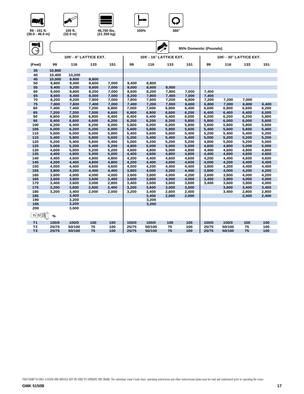



**ANTES** 





| NÎ              |        |                        |       |       |       |        | $\sum_{x}$              | 85% Domestic (Pounds) |       |                         |       |       |
|-----------------|--------|------------------------|-------|-------|-------|--------|-------------------------|-----------------------|-------|-------------------------|-------|-------|
|                 |        | 105' - 0° LATTICE EXT. |       |       |       |        | 105' - 16° LATTICE EXT. |                       |       | 105' - 30° LATTICE EXT. |       |       |
| (Feet)          | 99     | 116                    | 133   | 151   | 99    | 116    | 133                     | 151                   | 99    | 116                     | 133   | 151   |
| 35              | 10,800 |                        |       |       |       |        |                         |                       |       |                         |       |       |
| 40              | 10,400 | 10,200                 |       |       |       |        |                         |                       |       |                         |       |       |
| 45              | 10,000 | 9,800                  | 8,600 |       |       |        |                         |                       |       |                         |       |       |
| 50              | 9,800  | 9,400                  | 8,600 | 7,000 | 9,400 | 8,800  |                         |                       |       |                         |       |       |
| 55              | 9,400  | 9,200                  | 8,600 | 7,000 | 9,000 | 8,600  | 8,000                   |                       |       |                         |       |       |
| 60              | 9,000  | 8,800                  | 8,200 | 7,000 | 8,600 | 8,200  | 7,800                   | 7,000                 | 7,400 |                         |       |       |
| 65              | 8,600  | 8,400                  | 8,000 | 7,000 | 8,200 | 7,800  | 7,400                   | 7,000                 | 7,400 |                         |       |       |
| 70              | 8,200  | 8,200                  | 7,800 | 7,000 | 7,800 | 7,600  | 7,200                   | 6,800                 | 7,200 | 7,200                   | 7,000 |       |
| 75              | 7,800  | 7,800                  | 7,400 | 7,000 | 7,400 | 7,200  | 7,000                   | 6,600                 | 6,800 | 7,000                   | 6,800 | 6,400 |
| 80              | 7,400  | 7,400                  | 7,200 | 6,800 | 7,000 | 7,000  | 6,800                   | 6,400                 | 6,600 | 6,800                   | 6,600 | 6,200 |
| 85              | 7,200  | 7,200                  | 7,000 | 6,600 | 6,800 | 6,800  | 6,600                   | 6,200                 | 6,400 | 6,400                   | 6,400 | 6,000 |
| 90              | 6,800  | 6,800                  | 6,800 | 6,400 | 6,400 | 6,400  | 6,400                   | 6,000                 | 6,200 | 6,200                   | 6,200 | 5,800 |
| 95              | 6,400  | 6,600                  | 6,600 | 6,200 | 6,200 | 6,200  | 6,200                   | 5,800                 | 5,800 | 6,000                   | 6,000 | 5,600 |
| 100             | 6,200  | 6,400                  | 6,200 | 6,000 | 5,800 | 6,000  | 6,000                   | 5,800                 | 5,600 | 5,800                   | 5,800 | 5,600 |
| 105             | 6,000  | 6,200                  | 6,200 | 6,000 | 5,600 | 5,800  | 5,800                   | 5,600                 | 5,400 | 5,600                   | 5,600 | 5,400 |
| 110             | 5,600  | 6,000                  | 6,000 | 5,800 | 5,400 | 5,600  | 5,600                   | 5,400                 | 5,200 | 5,400                   | 5,400 | 5,200 |
| 115             | 5,400  | 5,800                  | 5,800 | 5,600 | 5,200 | 5,400  | 5,400                   | 5,400                 | 5,000 | 5,200                   | 5,200 | 5,200 |
| 120             | 5,200  | 5,400                  | 5,600 | 5,400 | 5,000 | 5,200  | 5,200                   | 5,200                 | 4,800 | 5,000                   | 5,200 | 5,000 |
| 125             | 5,000  | 5,200                  | 5,400 | 5,200 | 4,800 | 5,000  | 5,000                   | 5,000                 | 4,600 | 4,800                   | 5,000 | 5,000 |
| 130             | 4,600  | 5,000                  | 5,200 | 5,200 | 4,600 | 4,800  | 5,000                   | 4,800                 | 4,400 | 4,600                   | 4,800 | 4,800 |
| 135             | 4,400  | 4,800                  | 5,000 | 5,000 | 4,400 | 4,600  | 4,800                   | 4,800                 | 4,400 | 4,600                   | 4,600 | 4,600 |
| 140             | 4,400  | 4,600                  | 4,800 | 4,800 | 4,200 | 4,400  | 4,600                   | 4,600                 | 4,200 | 4,400                   | 4,600 | 4,600 |
| 145             | 4,200  | 4,400                  | 4,800 | 4,800 | 4,200 | 4,400  | 4,600                   | 4,600                 | 4,000 | 4,200                   | 4,400 | 4,400 |
| 150             | 4,000  | 4,400                  | 4,600 | 4,600 | 4,000 | 4,200  | 4,400                   | 4,400                 | 3,800 | 4,200                   | 4,400 | 4,400 |
| 155             | 3,800  | 4,200                  | 4,400 | 4,400 | 3,800 | 4,000  | 4,200                   | 4,400                 | 3,800 | 4,000                   | 4,200 | 4,200 |
| 160             | 3,600  | 4,000                  | 4,000 | 4,000 | 3,600 | 3,800  | 4,000                   | 4,200                 | 3,600 | 3,800                   | 4,000 | 4,200 |
| 165             | 3,600  | 3,800                  | 3,600 | 3,400 | 3,600 | 3,800  | 4,000                   | 4,000                 | 3,400 | 3,800                   | 4,000 | 4,000 |
| 170             | 3,400  | 3,600                  | 3,000 | 2,800 | 3,400 | 3,600  | 3,600                   | 3,600                 | 3,400 | 3,600                   | 3,800 | 4,000 |
| 175             | 3,200  | 3,600                  | 2,600 | 2,400 | 3,200 | 3,600  | 3,000                   | 3,000                 |       | 3,600                   | 3,400 | 3,400 |
| 180             | 3,200  | 3,400                  | 2,000 | 2,000 | 3,200 | 3,400  | 2,600                   | 2,400                 |       | 3,400                   | 2,800 | 2,800 |
| 185             |        | 3,400                  |       |       |       | 3,400  | 2,000                   | 2,000                 |       |                         | 2,400 | 2,400 |
| 190             |        | 3,200                  |       |       |       | 3,200  |                         |                       |       |                         |       |       |
| 195             |        | 3,200                  |       |       |       | 3,200  |                         |                       |       |                         |       |       |
| 200             |        | 3,000                  |       |       |       |        |                         |                       |       |                         |       |       |
| <u>11 12 13</u> | $\%$   |                        |       |       |       |        |                         |                       |       |                         |       |       |
| T <sub>1</sub>  | 100/0  | 100/0                  | 100   | 100   | 100/0 | 100/0  | 100                     | 100                   | 100/0 | 100/0                   | 100   | 100   |
| T <sub>2</sub>  | 25/75  | 50/100                 | 75    | 100   | 25/75 | 50/100 | 75                      | 100                   | 25/75 | 50/100                  | 75    | 100   |
| T <sub>3</sub>  | 25/75  | 50/100                 | 75    | 100   | 25/75 | 50/100 | 75                      | 100                   | 25/75 | 50/100                  | 75    | 100   |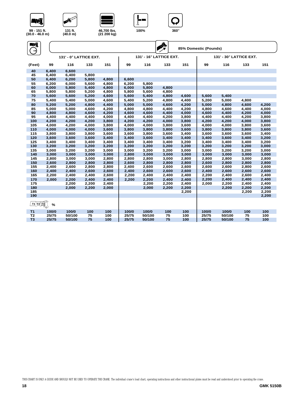

**131 ft. (40.0 m)** 

ឃ







| (30.0 - 46.0 m |  |
|----------------|--|
| ۸D             |  |

| ENÎ<br>$\rightarrow$                                                    |       |                        |       |       |       |        | A                       |       | 85% Domestic (Pounds) |                         |       |       |
|-------------------------------------------------------------------------|-------|------------------------|-------|-------|-------|--------|-------------------------|-------|-----------------------|-------------------------|-------|-------|
|                                                                         |       | 131' - 0° LATTICE EXT. |       |       |       |        | 131' - 16° LATTICE EXT. |       |                       | 131' - 30° LATTICE EXT. |       |       |
| (Feet)                                                                  | 99    | 116                    | 133   | 151   | 99    | 116    | 133                     | 151   | 99                    | 116                     | 133   | 151   |
| 40                                                                      | 6,400 | 6,600                  |       |       |       |        |                         |       |                       |                         |       |       |
| 45                                                                      | 6,400 | 6,400                  | 5,800 |       |       |        |                         |       |                       |                         |       |       |
| 50                                                                      | 6,400 | 6,200                  | 5,800 | 4,800 | 6,600 |        |                         |       |                       |                         |       |       |
| 55                                                                      | 6,200 | 6,000                  | 5,600 | 4,800 | 6,200 | 5,800  |                         |       |                       |                         |       |       |
| 60                                                                      | 6,000 | 5,800                  | 5,400 | 4,800 | 6,000 | 5,800  | 4,800                   |       |                       |                         |       |       |
| 65                                                                      | 5,800 | 5,800                  | 5,200 | 4,800 | 5,800 | 5,600  | 4,800                   |       |                       |                         |       |       |
| 70                                                                      | 5,600 | 5,600                  | 5,200 | 4,600 | 5,600 | 5,400  | 4,800                   | 4,600 | 5,600                 | 5,400                   |       |       |
| 75                                                                      | 5,400 | 5,400                  | 5,000 | 4,600 | 5,400 | 5,200  | 4,800                   | 4,400 | 5,200                 | 5,000                   | 4,800 |       |
| 80                                                                      | 5,200 | 5,200                  | 4,800 | 4,400 | 5.000 | 5,000  | 4,600                   | 4,200 | 5,000                 | 4,800                   | 4,600 | 4,200 |
| 85                                                                      | 5.000 | 5,000                  | 4.600 | 4,200 | 4.800 | 4,800  | 4.400                   | 4.200 | 4.800                 | 4.600                   | 4,400 | 4,000 |
| 90                                                                      | 4,800 | 4,800                  | 4,600 | 4,200 | 4,600 | 4,600  | 4,400                   | 4,000 | 4,600                 | 4,400                   | 4,200 | 4,000 |
| 95                                                                      | 4,400 | 4,400                  | 4,400 | 4,000 | 4,400 | 4,400  | 4,200                   | 3,800 | 4,400                 | 4,400                   | 4,200 | 3,800 |
| 100                                                                     | 4,200 | 4,200                  | 4,200 | 3,800 | 4,200 | 4,200  | 4,000                   | 3,800 | 4,200                 | 4,200                   | 4,000 | 3,800 |
| 105                                                                     | 4,000 | 4,200                  | 4,000 | 3,800 | 4,000 | 4,000  | 3,800                   | 3,600 | 4,000                 | 4,000                   | 3,800 | 3,600 |
| 110                                                                     | 4,000 | 4,000                  | 4,000 | 3,600 | 3,800 | 3,800  | 3,800                   | 3,600 | 3,800                 | 3,800                   | 3,800 | 3,600 |
| 115                                                                     | 3,800 | 3,800                  | 3,800 | 3,600 | 3,600 | 3,800  | 3,600                   | 3,400 | 3,600                 | 3,600                   | 3,600 | 3,400 |
| 120                                                                     | 3,600 | 3,600                  | 3,600 | 3,400 | 3.400 | 3.600  | 3.400                   | 3,400 | 3,400                 | 3,600                   | 3,400 | 3,200 |
| 125                                                                     | 3,400 | 3,400                  | 3,400 | 3,400 | 3,400 | 3,400  | 3,400                   | 3,200 | 3,400                 | 3,400                   | 3,400 | 3,200 |
| 130                                                                     | 3,200 | 3,200                  | 3,200 | 3,200 | 3,200 | 3,200  | 3,200                   | 3,200 | 3,200                 | 3,200                   | 3,200 | 3,000 |
| 135                                                                     | 3,000 | 3,200                  | 3,200 | 3,000 | 3,000 | 3,200  | 3,200                   | 3,000 | 3,000                 | 3,200                   | 3,200 | 3,000 |
| 140                                                                     | 3,000 | 3,000                  | 3,000 | 3,000 | 2,800 | 3,000  | 3,000                   | 3,000 | 3,000                 | 3,000                   | 3,000 | 3,000 |
| 145                                                                     | 2,800 | 3,000                  | 3,000 | 2,800 | 2,800 | 2,800  | 3,000                   | 2,800 | 2,800                 | 2,800                   | 3,000 | 2,800 |
| 150                                                                     | 2,600 | 2,800                  | 2,800 | 2,800 | 2,600 | 2,800  | 2,800                   | 2,800 | 2,600                 | 2,800                   | 2,800 | 2,800 |
| 155                                                                     | 2,400 | 2,600                  | 2,800 | 2,800 | 2,400 | 2,600  | 2,600                   | 2,600 | 2,600                 | 2,600                   | 2,800 | 2,600 |
| 160                                                                     | 2,400 | 2,400                  | 2,600 | 2,600 | 2,400 | 2,600  | 2,600                   | 2,600 | 2,400                 | 2,600                   | 2,600 | 2,600 |
| 165                                                                     | 2,200 | 2,400                  | 2,400 | 2,600 | 2,200 | 2,400  | 2,400                   | 2,400 | 2,200                 | 2,400                   | 2,600 | 2,400 |
| 170                                                                     | 2.000 | 2.200                  | 2.400 | 2.400 | 2,200 | 2,200  | 2,400                   | 2,400 | 2,200                 | 2,400                   | 2,400 | 2,400 |
| 175                                                                     |       | 2,200                  | 2,200 | 2,400 |       | 2,200  | 2,200                   | 2,400 | 2,000                 | 2,200                   | 2,400 | 2,400 |
| 180                                                                     |       | 2,000                  | 2,200 | 2,000 |       | 2,000  | 2,200                   | 2,200 |                       | 2,200                   | 2.200 | 2,200 |
| 185                                                                     |       |                        |       |       |       |        |                         | 2,200 |                       |                         | 2,200 | 2,200 |
| 190                                                                     |       |                        |       |       |       |        |                         |       |                       |                         |       | 2,200 |
| $\underline{\text{I1}}$ $\underline{\text{I2}}$ $\underline{\text{I3}}$ | $\%$  |                        |       |       |       |        |                         |       |                       |                         |       |       |
| <b>T1</b>                                                               | 100/0 | 100/0                  | 100   | 100   | 100/0 | 100/0  | 100                     | 100   | 100/0                 | 100/0                   | 100   | 100   |
| T <sub>2</sub>                                                          | 25/75 | 50/100                 | 75    | 100   | 25/75 | 50/100 | 75                      | 100   | 25/75                 | 50/100                  | 75    | 100   |
| T <sub>3</sub>                                                          | 25/75 | 50/100                 | 75    | 100   | 25/75 | 50/100 | 75                      | 100   | 25/75                 | 50/100                  | 75    | 100   |
|                                                                         |       |                        |       |       |       |        |                         |       |                       |                         |       |       |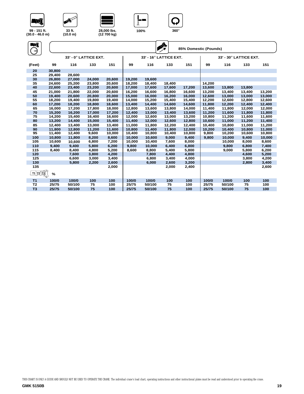

**T1 T2 T3 %**

**120**

**125**

 $18,400$ 

**8,400**

**7,600**

**6,600**

**5,800**



**AND ROW** 





**4,800 5,200 8,600 8,800 5,400 5,800 9,000 5,800 6,200**

**3,800 4,200 7,800 4,400 4,800 4,600 5,200**

**3,000 3,400 6,800 3,400 4,000 3,800 4,200**

**130 2,200 2,600 6,000 2,600 3,200 2,800 3,400 135 2,000 2,000 2,400 2,600**

**T1 100/0 100/0 100 100 100/0 100/0 100 100 100/0 100/0 100 100 T2 25/75 50/100 75 100 25/75 50/100 75 100 25/75 50/100 75 100 T3 25/75 50/100 75 100 25/75 50/100 75 100 25/75 50/100 75 100**

| 99 - 151 ft.<br>$(30.0 - 46.0)$ m) |        | 33 ft.<br>(10.0 m) |                       | 28,000 lbs.<br>(12 700 kg) |        | 100%   | $360^\circ$            |                       |        |        |                        |        |
|------------------------------------|--------|--------------------|-----------------------|----------------------------|--------|--------|------------------------|-----------------------|--------|--------|------------------------|--------|
| ЕŊÎ<br>$\rightarrow$               |        |                    |                       |                            |        |        |                        | 85% Domestic (Pounds) |        |        |                        |        |
|                                    |        |                    | 33' - 0° LATTICE EXT. |                            |        |        | 33' - 16° LATTICE EXT. |                       |        |        | 33' - 30° LATTICE EXT. |        |
| (Feet)                             | 99     | 116                | 133                   | 151                        | 99     | 116    | 133                    | 151                   | 99     | 116    | 133                    | 151    |
| 20                                 | 30,800 |                    |                       |                            |        |        |                        |                       |        |        |                        |        |
| 25                                 | 29,400 | 28,600             |                       |                            |        |        |                        |                       |        |        |                        |        |
| 30                                 | 26,800 | 27,000             | 24,000                | 20,600                     | 19,200 | 19,600 |                        |                       |        |        |                        |        |
| 35                                 | 24,600 | 25,200             | 23,800                | 20,600                     | 18,200 | 18,400 | 18,400                 |                       | 14,200 |        |                        |        |
| 40                                 | 22,600 | 23,400             | 23,200                | 20,600                     | 17,000 | 17,600 | 17,600                 | 17,200                | 13,600 | 13,800 | 13,800                 |        |
| 45                                 | 21,000 | 21,800             | 22,000                | 20,600                     | 16,200 | 16.600 | 16,800                 | 16,600                | 13,200 | 13,400 | 13,400                 | 13,200 |
| 50                                 | 19,400 | 20,600             | 20,800                | 20,000                     | 15,000 | 16,000 | 16,200                 | 16,000                | 12,600 | 13,000 | 13,000                 | 13,000 |
| 55                                 | 18,200 | 19,400             | 19,800                | 19,400                     | 14,000 | 15,200 | 15,400                 | 15,400                | 12,200 | 12,600 | 12,800                 | 12,600 |
| 60                                 | 17,200 | 18,200             | 18,800                | 18,600                     | 13,400 | 14,400 | 14,600                 | 14,600                | 11,800 | 12,200 | 12,400                 | 12,400 |
| 65                                 | 16,000 | 17,200             | 17,800                | 18,000                     | 12,800 | 13,600 | 13,800                 | 14,000                | 11,400 | 11,800 | 12,000                 | 12,000 |
| 70                                 | 15,200 | 16,200             | 17,000                | 17,200                     | 12,400 | 13,000 | 13,400                 | 13,600                | 11,200 | 11,600 | 11,800                 | 11,800 |
| 75                                 | 14,200 | 15,400             | 16,400                | 16,600                     | 12,000 | 12,600 | 13,000                 | 13,200                | 10,800 | 11,200 | 11,600                 | 11,600 |
| 80                                 | 13,200 | 14,400             | 15,000                | 15,400                     | 11,400 | 12,000 | 12,600                 | 12,800                | 10,600 | 11,000 | 11,200                 | 11,400 |
| 85                                 | 12,400 | 13,400             | 13,000                | 13,400                     | 11,000 | 11,800 | 12,200                 | 12,400                | 10,400 | 10,800 | 11,000                 | 11,200 |
| 90                                 | 11,800 | 12,800             | 11,200                | 11,600                     | 10,800 | 11,400 | 11,800                 | 12,000                | 10,200 | 10,400 | 10,800                 | 11,000 |
| 95                                 | 11,400 | 12,400             | 9,600                 | 10,000                     | 10,400 | 10,800 | 10,400                 | 10,800                | 9,800  | 10,200 | 10,600                 | 10,800 |
| 100                                | 10,800 | 11,800             | 8,200                 | 8,600                      | 10,000 | 10,600 | 9,000                  | 9,400                 | 9,800  | 10,000 | 9,400                  | 10,000 |
| 105                                | 10,600 | 10,600             | 6,800                 | 7,200                      | 10,000 | 10,400 | 7,600                  | 8,000                 |        | 10,000 | 8,000                  | 8,600  |
| 110                                | 9.400  | 9.400              | 5,800                 | 6,200                      | 9.800  | 10.000 | 6.400                  | 6,800                 |        | 9.800  | 6,800                  | 7,400  |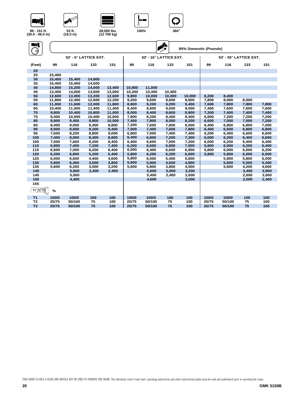



**NEW** 





| WÎ              |        |        |                       |        |        |                        | ♠ |        |                       |       |                        |       |       |
|-----------------|--------|--------|-----------------------|--------|--------|------------------------|---|--------|-----------------------|-------|------------------------|-------|-------|
|                 |        |        |                       |        |        |                        |   |        | 85% Domestic (Pounds) |       |                        |       |       |
|                 |        |        | 53' - 0° LATTICE EXT. |        |        | 53' - 16° LATTICE EXT. |   |        |                       |       | 53' - 30° LATTICE EXT. |       |       |
| (Feet)          | 99     | 116    | 133                   | 151    | 99     | 116                    |   | 133    | 151                   | 99    | 116                    | 133   | 151   |
| 20              |        |        |                       |        |        |                        |   |        |                       |       |                        |       |       |
| 25              | 15,400 |        |                       |        |        |                        |   |        |                       |       |                        |       |       |
| 30              | 15,400 | 15,400 | 14,800                |        |        |                        |   |        |                       |       |                        |       |       |
| 35              | 15,400 | 15,400 | 14,600                |        |        |                        |   |        |                       |       |                        |       |       |
| 40              | 14,800 | 15,200 | 14,000                | 13,400 | 10,800 | 11,000                 |   |        |                       |       |                        |       |       |
| 45              | 13,400 | 14,000 | 13,600                | 13,000 | 10,200 | 10,400                 |   | 10,400 |                       |       |                        |       |       |
| 50              | 12,600 | 13,000 | 13,200                | 12,600 | 9,800  | 10,000                 |   | 10,000 | 10,000                | 8,200 | 8,400                  |       |       |
| 55              | 11,800 | 12,400 | 12,600                | 12,200 | 9,200  | 9,600                  |   | 9,600  | 9,600                 | 7,800 | 8,000                  | 8,000 |       |
| 60              | 11,000 | 11,600 | 12,000                | 11,800 | 8,800  | 9,200                  |   | 9,200  | 9,400                 | 7,600 | 7,800                  | 7,800 | 7,800 |
| 65              | 10,400 | 11,000 | 11,400                | 11,400 | 8,400  | 8,800                  |   | 9,000  | 9,000                 | 7,400 | 7,600                  | 7,600 | 7,600 |
| 70              | 9,800  | 10,400 | 10,800                | 11,000 | 8,000  | 8,400                  |   | 8,600  | 8,800                 | 7,200 | 7,400                  | 7,400 | 7,400 |
| 75              | 9,400  | 10,000 | 10,400                | 10,600 | 7,800  | 8,200                  |   | 8,400  | 8,400                 | 6,800 | 7,200                  | 7,200 | 7,200 |
| 80              | 8,800  | 9,400  | 9,800                 | 10,000 | 7,400  | 7,800                  |   | 8,000  | 8,200                 | 6,600 | 7,000                  | 7,000 | 7,200 |
| 85              | 8,400  | 9,000  | 9,400                 | 9,800  | 7,200  | 7,600                  |   | 7,800  | 8,000                 | 6,400 | 6,800                  | 6,800 | 7,000 |
| 90              | 8,000  | 8,600  | 9,200                 | 9,400  | 7,000  | 7,400                  |   | 7,600  | 7,800                 | 6,400 | 6,600                  | 6,800 | 6,800 |
| 95              | 7,600  | 8,200  | 8,800                 | 9,000  | 6,800  | 7,000                  |   | 7,400  | 7,400                 | 6,200 | 6,400                  | 6,600 | 6,600 |
| 100             | 7,400  | 8,000  | 8,400                 | 8,800  | 6,400  | 6,800                  |   | 7,200  | 7,200                 | 6,000 | 6,200                  | 6,400 | 6,600 |
| 105             | 7,000  | 7,600  | 8,200                 | 8,400  | 6,400  | 6,600                  |   | 7,000  | 7,200                 | 6,000 | 6,200                  | 6,400 | 6,400 |
| 110             | 6,800  | 7,400  | 7,200                 | 7,400  | 6,200  | 6,600                  |   | 6,800  | 7,000                 | 5,800 | 6,000                  | 6,200 | 6,400 |
| 115             | 6,600  | 7,000  | 6,200                 | 6,400  | 6,000  | 6,400                  |   | 6,600  | 6,800                 | 5,800 | 6,000                  | 6,000 | 6,200 |
| 120             | 6,200  | 6,800  | 5,200                 | 5,400  | 5,800  | 6,200                  |   | 6,200  | 6,600                 | 5,800 | 5,800                  | 6,000 | 6,000 |
| 125             | 6,000  | 6,600  | 4,400                 | 4,600  | 5,800  | 6,000                  |   | 5,400  | 5,600                 |       | 5,800                  | 5,800 | 6,000 |
| 130             | 5,800  | 6,400  | 3,600                 | 3,800  | 5,600  | 5,800                  |   | 4,600  | 4,800                 |       | 5,600                  | 5,000 | 5,400 |
| 135             | 5,600  | 6,200  | 3,000                 | 3,200  | 5,600  | 5,800                  |   | 3,800  | 4,000                 |       | 5,600                  | 4,200 | 4,600 |
| 140             |        | 5,600  | 2,400                 | 2,400  |        | 5,600                  |   | 3,000  | 3,200                 |       |                        | 3,400 | 3,800 |
| 145             |        | 5,000  |                       |        |        | 5,400                  |   | 2,400  | 2,600                 |       |                        | 2,600 | 3,000 |
| 150             |        | 4,400  |                       |        |        | 4,600                  |   |        | 2,000                 |       |                        | 2,000 | 2,400 |
| 155             |        |        |                       |        |        |                        |   |        |                       |       |                        |       |       |
| <u>11 12 13</u> | %      |        |                       |        |        |                        |   |        |                       |       |                        |       |       |
| T <sub>1</sub>  | 100/0  | 100/0  | 100                   | 100    | 100/0  | 100/0                  |   | 100    | 100                   | 100/0 | 100/0                  | 100   | 100   |
| T <sub>2</sub>  | 25/75  | 50/100 | 75                    | 100    | 25/75  | 50/100                 |   | 75     | 100                   | 25/75 | 50/100                 | 75    | 100   |
| T <sub>3</sub>  | 25/75  | 50/100 | 75                    | 100    | 25/75  | 50/100                 |   | 75     | 100                   | 25/75 | 50/100                 | 75    | 100   |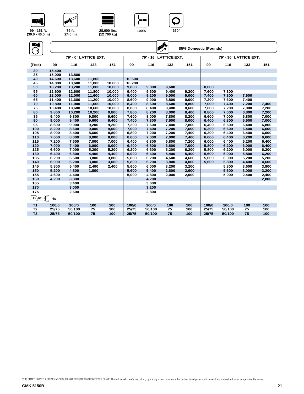



WA





| -wî              |        |        |                       |        |        |        | $\sum_{x}$             | 85% Domestic (Pounds) |       |                        |       |       |
|------------------|--------|--------|-----------------------|--------|--------|--------|------------------------|-----------------------|-------|------------------------|-------|-------|
|                  |        |        | 79' - 0° LATTICE EXT. |        |        |        | 79' - 16° LATTICE EXT. |                       |       | 79' - 30° LATTICE EXT. |       |       |
| (Feet)           | 99     | 116    | 133                   | 151    | 99     | 116    | 133                    | 151                   | 99    | 116                    | 133   | 151   |
| 30               | 15,400 |        |                       |        |        |        |                        |                       |       |                        |       |       |
| 35               | 15,000 | 13,800 |                       |        |        |        |                        |                       |       |                        |       |       |
| 40               | 14,600 | 13,600 | 11.800                |        | 10,600 |        |                        |                       |       |                        |       |       |
| 45               | 14,000 | 13,600 | 11,800                | 10,000 | 10,200 |        |                        |                       |       |                        |       |       |
| 50               | 13,200 | 13,200 | 11,800                | 10,000 | 9,800  | 9,800  | 9,600                  |                       | 8,000 |                        |       |       |
| 55               | 12,600 | 12.600 | 11.800                | 10.000 | 9,400  | 9,600  | 9,400                  | 9,200                 | 7,600 | 7.800                  |       |       |
| 60               | 12,000 | 12,000 | 11,600                | 10,000 | 9,000  | 9,200  | 9,000                  | 9,000                 | 7,400 | 7,800                  | 7,600 |       |
| 65               | 11,400 | 11,600 | 11,200                | 10,000 | 8,600  | 9,000  | 8,800                  | 9,000                 | 7,200 | 7.600                  | 7,400 |       |
| 70               | 10,800 | 11,000 | 11,000                | 10,000 | 8,400  | 8,600  | 8,600                  | 8,800                 | 7,000 | 7,400                  | 7,200 | 7,400 |
| 75               | 10,400 | 10,600 | 10,600                | 10,000 | 8,000  | 8,400  | 8,400                  | 8,600                 | 7,000 | 7,200                  | 7,000 | 7,200 |
| 80               | 9,800  | 10,200 | 10.200                | 9.800  | 7,800  | 8,200  | 8,000                  | 8,400                 | 6,800 | 7.000                  | 6.800 | 7,200 |
| 85               | 9,400  | 9,800  | 9,800                 | 9,600  | 7,600  | 8,000  | 7,800                  | 8,200                 | 6,600 | 7,000                  | 6,800 | 7,000 |
| 90               | 9,000  | 9,400  | 9,600                 | 9,400  | 7,400  | 7,800  | 7,600                  | 8,000                 | 6,400 | 6,800                  | 6,600 | 7,000 |
| 95               | 8,600  | 9,000  | 9,200                 | 9,200  | 7,200  | 7,600  | 7,400                  | 7,800                 | 6,400 | 6,600                  | 6,400 | 6,800 |
| 100              | 8,200  | 8,600  | 9,000                 | 9,000  | 7,000  | 7,400  | 7,200                  | 7,600                 | 6,200 | 6,600                  | 6,400 | 6,600 |
| 105              | 8,000  | 8,400  | 8,600                 | 8,800  | 6,800  | 7,200  | 7,200                  | 7,400                 | 6,200 | 6,400                  | 6,400 | 6,600 |
| 110              | 7,600  | 8,000  | 8,000                 | 8,000  | 6,600  | 7,000  | 7,000                  | 7,400                 | 6,000 | 6,400                  | 6,200 | 6,600 |
| 115              | 7,200  | 7,600  | 7,000                 | 7,000  | 6,400  | 6,800  | 6,800                  | 7,200                 | 6,000 | 6,400                  | 6,200 | 6,400 |
| 120              | 7,000  | 7,400  | 6,000                 | 6,000  | 6,400  | 6,800  | 6,800                  | 7,000                 | 5,800 | 6,200                  | 6,000 | 6,400 |
| 125              | 6,600  | 7,000  | 5,200                 | 5,200  | 6,200  | 6,600  | 6,200                  | 6,200                 | 5,800 | 6,200                  | 6,000 | 6,200 |
| 130              | 6,400  | 6,800  | 4,400                 | 4,400  | 6,000  | 6,400  | 5,400                  | 5,400                 | 5,600 | 6,000                  | 5,800 | 6,200 |
| 135              | 6,200  | 6,600  | 3,800                 | 3.800  | 5,800  | 6,200  | 4,600                  | 4.600                 | 5,600 | 6,000                  | 5,200 | 5,200 |
| 140              | 6,000  | 6,200  | 3,000                 | 3,000  | 5,800  | 6,200  | 3,800                  | 4,000                 | 5,600 | 5,800                  | 4,400 | 4,600 |
| 145              | 5,800  | 5,400  | 2,400                 | 2,400  | 5,600  | 6,000  | 3,200                  | 3,200                 |       | 5,800                  | 3,600 | 3,800 |
| 150              | 5,200  | 4,800  | 1,800                 |        | 5,600  | 5,400  | 2,600                  | 2,600                 |       | 5,600                  | 3,000 | 3,200 |
| 155              | 4,600  | 4,400  |                       |        | 5,000  | 4,800  | 2,000                  | 2,000                 |       | 5,000                  | 2,400 | 2,400 |
| 160              | 4,200  | 3,800  |                       |        |        | 4,200  |                        |                       |       |                        |       | 2,000 |
| 165              |        | 3,400  |                       |        |        | 3,600  |                        |                       |       |                        |       |       |
| 170              |        | 3,000  |                       |        |        | 3,200  |                        |                       |       |                        |       |       |
| 175              |        | 2,600  |                       |        |        | 2,800  |                        |                       |       |                        |       |       |
| <u> 11 12 13</u> | $\%$   |        |                       |        |        |        |                        |                       |       |                        |       |       |
| T1               | 100/0  | 100/0  | 100                   | 100    | 100/0  | 100/0  | 100                    | 100                   | 100/0 | 100/0                  | 100   | 100   |
| T <sub>2</sub>   | 25/75  | 50/100 | 75                    | 100    | 25/75  | 50/100 | 75                     | 100                   | 25/75 | 50/100                 | 75    | 100   |
| T <sub>3</sub>   | 25/75  | 50/100 | 75                    | 100    | 25/75  | 50/100 | 75                     | 100                   | 25/75 | 50/100                 | 75    | 100   |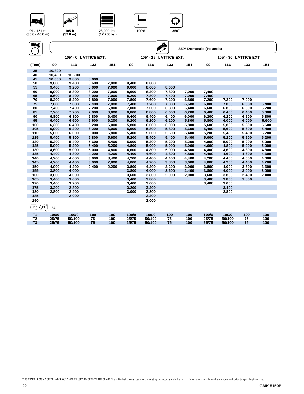



**AVIENT** 





| WÎ                            |                | 105' - 0° LATTICE EXT. |                |                |                |                | $\sum_{i=1}^{n}$<br>105' - 16° LATTICE EXT. | 85% Domestic (Pounds) |                | 105' - 30° LATTICE EXT. |                |                |
|-------------------------------|----------------|------------------------|----------------|----------------|----------------|----------------|---------------------------------------------|-----------------------|----------------|-------------------------|----------------|----------------|
| (Feet)                        | 99             | 116                    | 133            | 151            | 99             | 116            | 133                                         | 151                   | 99             | 116                     | 133            | 151            |
|                               |                |                        |                |                |                |                |                                             |                       |                |                         |                |                |
| 35                            | 10,800         |                        |                |                |                |                |                                             |                       |                |                         |                |                |
| 40                            | 10,400         | 10,200                 |                |                |                |                |                                             |                       |                |                         |                |                |
| 45                            | 10,000         | 9,800                  | 8,600          |                |                |                |                                             |                       |                |                         |                |                |
| 50                            | 9,800          | 9,400                  | 8,600          | 7,000          | 9,400          | 8,800          |                                             |                       |                |                         |                |                |
| 55                            | 9,400          | 9,200                  | 8,600          | 7,000          | 9,000          | 8,600          | 8,000                                       |                       |                |                         |                |                |
| 60                            | 9,000          | 8,800                  | 8,200          | 7,000          | 8,600          | 8,200          | 7,800                                       | 7,000                 | 7,400          |                         |                |                |
| 65<br>70                      | 8,600          | 8,400                  | 8,000          | 7,000          | 8,200          | 7,800          | 7,400                                       | 7,000                 | 7,400          |                         |                |                |
|                               | 8,200          | 8,200                  | 7,800          | 7,000          | 7,800          | 7,600          | 7,200                                       | 6,800                 | 7,200          | 7,200                   | 7,000          |                |
| 75                            | 7,800          | 7,800                  | 7,400          | 7,000          | 7,400          | 7,200          | 7,000                                       | 6,600                 | 6,800          | 7,000                   | 6,800          | 6,400          |
| 80                            | 7,400          | 7,400                  | 7,200          | 6,800          | 7,000          | 7,000          | 6,800                                       | 6,400                 | 6,600          | 6,800                   | 6,600          | 6,200          |
| 85                            | 7,200          | 7,200                  | 7,000          | 6,600          | 6,800          | 6,800          | 6,600                                       | 6,200                 | 6,400          | 6,400                   | 6,400          | 6,000<br>5,800 |
| 90<br>95                      | 6,800<br>6,400 | 6,800<br>6,600         | 6,800<br>6,600 | 6,400<br>6,200 | 6,400<br>6,200 | 6,400<br>6,200 | 6,400<br>6,200                              | 6,000<br>5,800        | 6,200<br>5,800 | 6,200<br>6,000          | 6,200<br>6,000 | 5,600          |
|                               |                |                        |                |                |                |                |                                             |                       |                |                         |                |                |
| 100<br>105                    | 6,200<br>6,000 | 6,400<br>6,200         | 6,200<br>6,200 | 6,000<br>6,000 | 5,800<br>5,600 | 6,000<br>5,800 | 6,000<br>5,800                              | 5,800<br>5,600        | 5,600<br>5,400 | 5,800<br>5,600          | 5,800<br>5,600 | 5,600<br>5,400 |
| 110                           | 5,600          | 6,000                  | 6,000          | 5,800          | 5,400          | 5,600          | 5,600                                       | 5,400                 | 5,200          | 5,400                   | 5,400          | 5,200          |
| 115                           | 5,400          | 5,800                  | 5,800          | 5,600          | 5,200          | 5,400          | 5,400                                       | 5,400                 | 5,000          | 5,200                   | 5,200          | 5,200          |
|                               |                |                        |                |                |                |                |                                             |                       |                |                         |                |                |
| 120<br>125                    | 5,200<br>5,000 | 5,400<br>5,200         | 5,600<br>5,400 | 5,400<br>5,200 | 5,000<br>4,800 | 5,200<br>5,000 | 5,200<br>5,000                              | 5,200<br>5,000        | 4,800<br>4,600 | 5,000<br>4,800          | 5,200<br>5,000 | 5,000<br>5,000 |
| 130                           | 4,600          | 5,000                  | 5,000          | 4,800          | 4,600          | 4,800          | 5,000                                       | 4,800                 | 4,400          | 4,600                   | 4,800          | 4,800          |
| 135                           | 4,400          | 4,800                  | 4,200          | 4,200          | 4,400          | 4,600          | 4,800                                       | 4,800                 | 4,400          | 4,600                   | 4,600          | 4,600          |
| 140                           | 4,200          | 4,600                  | 3,600          | 3,400          | 4,200          | 4,400          | 4,400                                       | 4,400                 | 4,200          | 4,400                   | 4,600          | 4,600          |
| 145                           | 4,200          | 4,400                  | 3,000          | 2,800          | 4,000          | 4,200          | 3,800                                       | 3,600                 | 4,000          | 4,200                   | 4,400          | 4,200          |
| 150                           | 4,000          | 4,200                  | 2,400          | 2,200          | 3,800          | 4,200          | 3,200                                       | 3,000                 | 3,800          | 4,000                   | 3,600          | 3,600          |
| 155                           | 3,800          | 4,000                  |                |                | 3,800          | 4,000          | 2,600                                       | 2,400                 | 3,800          | 4,000                   | 3,000          | 3,000          |
| 160                           | 3,600          | 4,000                  |                |                | 3,600          | 3,800          | 2,000                                       | 2,000                 | 3,600          | 3,800                   | 2,400          | 2,400          |
| 165                           | 3,400          | 3,600                  |                |                | 3,400          | 3,800          |                                             |                       | 3,400          | 3,800                   | 1.800          |                |
| 170                           | 3,400          | 3,200                  |                |                | 3,400          | 3,600          |                                             |                       | 3,400          | 3,600                   |                |                |
| 175                           | 3,200          | 2,800                  |                |                | 3,200          | 3,200          |                                             |                       |                | 3,400                   |                |                |
| 180                           | 2,800          | 2,400                  |                |                | 3,000          | 2,800          |                                             |                       |                | 2,800                   |                |                |
| 185                           |                | 2,000                  |                |                |                | 2,200          |                                             |                       |                |                         |                |                |
|                               |                |                        |                |                |                |                |                                             |                       |                |                         |                |                |
| 190<br><u> 11  12  13</u>   J | %              |                        |                |                |                | 2,000          |                                             |                       |                |                         |                |                |
| T <sub>1</sub>                | 100/0          | 100/0                  | 100            | 100            | 100/0          | 100/0          | 100                                         | 100                   | 100/0          | 100/0                   | 100            | 100            |
| T <sub>2</sub>                | 25/75          | 50/100                 | 75             | 100            | 25/75          | 50/100         | 75                                          | 100                   | 25/75          | 50/100                  | 75             | 100            |
| T <sub>3</sub>                | 25/75          | 50/100                 | 75             | 100            | 25/75          | 50/100         | 75                                          | 100                   | 25/75          | 50/100                  | 75             | 100            |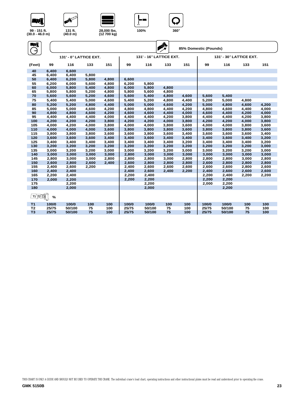







**131 ft. (40.0 m)** 

| Evî<br>$\rightarrow$    |       |                        |       |       |       |                         | $\mathbf{A}^{\mathbf{A}}_{\mathbf{X}}$ |       | 85% Domestic (Pounds) |                         |       |       |
|-------------------------|-------|------------------------|-------|-------|-------|-------------------------|----------------------------------------|-------|-----------------------|-------------------------|-------|-------|
|                         |       | 131' - 0° LATTICE EXT. |       |       |       | 131' - 16° LATTICE EXT. |                                        |       |                       | 131' - 30° LATTICE EXT. |       |       |
| (Feet)                  | 99    | 116                    | 133   | 151   | 99    | 116                     | 133                                    | 151   | 99                    | 116                     | 133   | 151   |
| 40                      | 6,400 | 6,600                  |       |       |       |                         |                                        |       |                       |                         |       |       |
| 45                      | 6,400 | 6,400                  | 5,800 |       |       |                         |                                        |       |                       |                         |       |       |
| 50                      | 6,400 | 6,200                  | 5,800 | 4,800 | 6,600 |                         |                                        |       |                       |                         |       |       |
| 55                      | 6,200 | 6,000                  | 5,600 | 4,800 | 6,200 | 5,800                   |                                        |       |                       |                         |       |       |
| 60                      | 6,000 | 5,800                  | 5,400 | 4,800 | 6,000 | 5,800                   | 4,800                                  |       |                       |                         |       |       |
| 65                      | 5,800 | 5,800                  | 5,200 | 4,800 | 5,800 | 5,600                   | 4,800                                  |       |                       |                         |       |       |
| 70                      | 5,600 | 5,600                  | 5,200 | 4,600 | 5,600 | 5,400                   | 4,800                                  | 4,600 | 5,600                 | 5,400                   |       |       |
| 75                      | 5,400 | 5,400                  | 5,000 | 4,600 | 5,400 | 5,200                   | 4,800                                  | 4,400 | 5,200                 | 5,000                   | 4,800 |       |
| 80                      | 5,200 | 5,200                  | 4,800 | 4,400 | 5,000 | 5,000                   | 4,600                                  | 4,200 | 5,000                 | 4,800                   | 4,600 | 4,200 |
| 85                      | 5,000 | 5,000                  | 4,600 | 4,200 | 4,800 | 4,800                   | 4,400                                  | 4,200 | 4,800                 | 4,600                   | 4,400 | 4,000 |
| 90                      | 4,800 | 4,800                  | 4,600 | 4,200 | 4,600 | 4,600                   | 4,400                                  | 4,000 | 4,600                 | 4,400                   | 4,200 | 4,000 |
| 95                      | 4,400 | 4,400                  | 4,400 | 4,000 | 4,400 | 4,400                   | 4,200                                  | 3,800 | 4,400                 | 4,400                   | 4,200 | 3,800 |
| 100                     | 4,200 | 4,200                  | 4,200 | 3,800 | 4,200 | 4,200                   | 4,000                                  | 3,800 | 4,200                 | 4,200                   | 4,000 | 3,800 |
| 105                     | 4,000 | 4,200                  | 4,000 | 3,800 | 4,000 | 4,000                   | 3,800                                  | 3,600 | 4,000                 | 4,000                   | 3,800 | 3,600 |
| 110                     | 4,000 | 4,000                  | 4,000 | 3,600 | 3,800 | 3,800                   | 3,800                                  | 3,600 | 3,800                 | 3,800                   | 3,800 | 3,600 |
| 115                     | 3,800 | 3,800                  | 3,800 | 3,600 | 3,600 | 3,800                   | 3,600                                  | 3,400 | 3,600                 | 3,600                   | 3,600 | 3,400 |
| 120                     | 3,600 | 3,600                  | 3,600 | 3,400 | 3,400 | 3,600                   | 3,400                                  | 3,400 | 3,400                 | 3,600                   | 3,400 | 3,200 |
| 125                     | 3,400 | 3,400                  | 3,400 | 3,400 | 3,400 | 3,400                   | 3,400                                  | 3,200 | 3,400                 | 3,400                   | 3,400 | 3,200 |
| 130                     | 3,200 | 3,200                  | 3,200 | 3,200 | 3,200 | 3,200                   | 3,200                                  | 3,200 | 3,200                 | 3,200                   | 3,200 | 3,000 |
| 135                     | 3,000 | 3,200                  | 3,200 | 3,000 | 3,000 | 3,200                   | 3,200                                  | 3,000 | 3,000                 | 3,200                   | 3,200 | 3,000 |
| 140                     | 3,000 | 3,000                  | 3,000 | 3,000 | 2,800 | 3,000                   | 3,000                                  | 3,000 | 3,000                 | 3,000                   | 3,000 | 3,000 |
| 145                     | 2,800 | 3,000                  | 3,000 | 2,800 | 2,800 | 2,800                   | 3,000                                  | 2,800 | 2,800                 | 2,800                   | 3,000 | 2,800 |
| 150                     | 2,600 | 2,800                  | 2,600 | 2,400 | 2,600 | 2,800                   | 2,800                                  | 2,800 | 2,600                 | 2,800                   | 2,800 | 2,800 |
| 155                     | 2,400 | 2,600                  | 2,200 |       | 2,400 | 2,600                   | 2,600                                  | 2,600 | 2,600                 | 2,600                   | 2,800 | 2,600 |
| 160                     | 2,400 | 2,400                  |       |       | 2,400 | 2,600                   | 2,400                                  | 2,200 | 2,400                 | 2,600                   | 2,600 | 2,600 |
| 165                     | 2,200 | 2,400                  |       |       | 2,200 | 2,400                   |                                        |       | 2,200                 | 2,400                   | 2,200 | 2,200 |
| 170                     | 2.000 | 2,200                  |       |       | 2,200 | 2,200                   |                                        |       | 2,200                 | 2,200                   |       |       |
| 175                     |       | 2,200                  |       |       |       | 2,200                   |                                        |       | 2,000                 | 2,200                   |       |       |
| 180                     |       | 2,000                  |       |       |       | 2,000                   |                                        |       |                       | 2,200                   |       |       |
| $T1$ <sup>T2</sup> $T3$ | %     |                        |       |       |       |                         |                                        |       |                       |                         |       |       |
| <b>T1</b>               | 100/0 | 100/0                  | 100   | 100   | 100/0 | 100/0                   | 100                                    | 100   | 100/0                 | 100/0                   | 100   | 100   |
| T <sub>2</sub>          | 25/75 | 50/100                 | 75    | 100   | 25/75 | 50/100                  | 75                                     | 100   | 25/75                 | 50/100                  | 75    | 100   |
| T <sub>3</sub>          | 25/75 | 50/100                 | 75    | 100   | 25/75 | 50/100                  | 75                                     | 100   | 25/75                 | 50/100                  | 75    | 100   |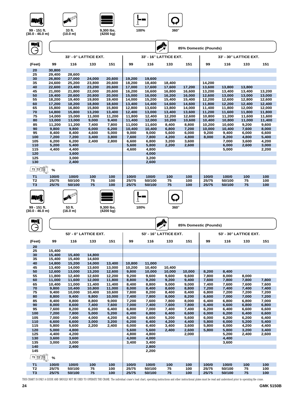







**99 - 151 ft.** 

| $(30.0 - 46.0)$ m)                                                             | 99 - 151 ft.     | 33 ft.<br>(10.0 m) |                       | 9,300 lbs.<br>(4200 kg) |                  | 100%             | $360^\circ$            |                       |                  |                        |                  |                  |
|--------------------------------------------------------------------------------|------------------|--------------------|-----------------------|-------------------------|------------------|------------------|------------------------|-----------------------|------------------|------------------------|------------------|------------------|
| 77J.                                                                           |                  |                    |                       |                         |                  |                  | $\sum_{i=1}^{n}$       | 85% Domestic (Pounds) |                  |                        |                  |                  |
|                                                                                |                  |                    | 33' - 0° LATTICE EXT. |                         |                  |                  | 33' - 16° LATTICE EXT. |                       |                  | 33' - 30° LATTICE EXT. |                  |                  |
| (Feet)                                                                         | 99               | 116                | 133                   | 151                     | 99               | 116              | 133                    | 151                   | 99               | 116                    | 133              | 151              |
| 20                                                                             | 30,800           |                    |                       |                         |                  |                  |                        |                       |                  |                        |                  |                  |
| 25                                                                             | 29,400           | 28,600             |                       |                         |                  |                  |                        |                       |                  |                        |                  |                  |
| 30<br>35                                                                       | 26,800<br>24,600 | 27,000<br>25,200   | 24,000<br>23,800      | 20,600<br>20,600        | 19,200<br>18,200 | 19,600<br>18,400 | 18,400                 |                       | 14,200           |                        |                  |                  |
| 40                                                                             | 22,600           | 23,400             | 23,200                | 20,600                  | 17,000           | 17,600           | 17,600                 | 17,200                | 13,600           | 13,800                 | 13,800           |                  |
| 45                                                                             | 21,000           | 21,800             | 22,000                | 20,600                  | 16,200           | 16,600           | 16,800                 | 16,600                | 13,200           | 13,400                 | 13,400           | 13,200           |
| 50                                                                             | 19,400           | 20,600             | 20,800                | 20,000                  | 15,000           | 16,000           | 16,200                 | 16,000                | 12,600           | 13,000                 | 13,000           | 13,000           |
| 55                                                                             | 18,200           | 19,400             | 19,800                | 19,400                  | 14,000           | 15,200           | 15,400                 | 15,400                | 12,200           | 12,600                 | 12,800           | 12,600           |
| 60<br>65                                                                       | 17,200<br>15,800 | 18,200<br>16,800   | 18,800<br>15,800      | 18,600<br>15,800        | 13,400<br>12,800 | 14,400<br>13,600 | 14,600<br>13,800       | 14,600<br>14,000      | 11,800<br>11,400 | 12,200<br>11,800       | 12,400<br>12,000 | 12,400<br>12,000 |
| 70                                                                             | 14,800           | 15,800             | 13,200                | 13,400                  | 12,400           | 13,000           | 13,400                 | 13,600                | 11,200           | 11,600                 | 11,800           | 11,800           |
| 75                                                                             | 14,000           | 15,000             | 11,000                | 11,200                  | 11,800           | 12,400           | 12,200                 | 12,600                | 10,800           | 11,200                 | 11,600           | 11,600           |
| 80                                                                             | 13,000           | 13,000             | 9,000                 | 9,400                   | 11,400           | 12,000           | 10,200                 | 10,600                | 10,400           | 10,800                 | 11,000           | 11,400           |
| 85                                                                             | 11,200           | 11,200             | 7,400                 | 7,800                   | 11,000           | 11,600           | 8,400                  | 8,800                 | 10,200           | 10,600                 | 9,200            | 9,600            |
| 90<br>95                                                                       | 9,800<br>8,400   | 9,800<br>8,400     | 6,000<br>4,600        | 6,200<br>5,000          | 10,400<br>9,000  | 10,400<br>9,000  | 6,800<br>5,600         | 7,200<br>6,000        | 10,000<br>9,200  | 10,400<br>9,400        | 7,600<br>6,000   | 8,000<br>6,600   |
| 100                                                                            | 7,200            | 7,200              | 3,400                 | 3,800                   | 7,600            | 7,800            | 4,200                  | 4,800                 | 8,000            | 8,200                  | 4,800            | 5,400            |
| 105                                                                            | 6,200            | 6,200              | 2,400                 | 2,800                   | 6,600            | 6,800            | 3,200                  | 3,600                 |                  | 7,000                  | 3,600            | 4,200            |
| 110                                                                            | 5,200            | 5,400              |                       |                         | 5,600            | 5,800            | 2,200                  | 2,600                 |                  | 6,000                  | 2,600            | 3,000            |
| 115                                                                            | 4,400            | 4,400              |                       |                         | 4,600            | 4,800            |                        |                       |                  | 5,000                  |                  | 2,200            |
| 120                                                                            |                  | 3,600              |                       |                         |                  | 4,000            |                        |                       |                  |                        |                  |                  |
| 125<br>130                                                                     |                  | 3,000<br>2,400     |                       |                         |                  | 3,200<br>2,600   |                        |                       |                  |                        |                  |                  |
|                                                                                |                  |                    |                       |                         |                  |                  |                        |                       |                  |                        |                  |                  |
| <u>11  12  13</u>                                                              | %                |                    |                       |                         |                  |                  |                        |                       |                  |                        |                  |                  |
| T1                                                                             | 100/0            | 100/0              | 100                   | 100                     | 100/0            | 100/0            | 100                    | 100                   | 100/0            | 100/0                  | 100              | 100              |
| T <sub>2</sub>                                                                 | 25/75            | 50/100             | 75                    | 100                     | 25/75            | 50/100           | 75                     | 100                   | 25/75            | 50/100                 | 75               | 100              |
| T <sub>3</sub>                                                                 | 25/75            | 50/100             | 75                    | 100                     | 25/75            | 50/100           | 75                     | 100                   | 25/75            | 50/100                 | 75               | 100              |
| 72J.                                                                           |                  | AVI BOO            |                       |                         |                  |                  |                        |                       |                  |                        |                  |                  |
|                                                                                |                  |                    |                       |                         |                  |                  |                        |                       |                  |                        |                  |                  |
| 99 - 151 ft.<br>$(30.0 - 46.0)$ m)                                             |                  | 53 ft.<br>(16.0 m) |                       | 9,300 lbs.<br>(4200 kg) |                  | 100%             | $360^\circ$            |                       |                  |                        |                  |                  |
| Мĵ<br>⇥                                                                        |                  |                    |                       |                         |                  |                  |                        | 85% Domestic (Pounds) |                  |                        |                  |                  |
|                                                                                |                  |                    | 53' - 0° LATTICE EXT. |                         |                  |                  | 53' - 16° LATTICE EXT. |                       |                  | 53' - 30° LATTICE EXT. |                  |                  |
| (Feet)                                                                         | 99               | 116                | 133                   | 151                     | 99               | 116              | 133                    | 151                   | 99               | 116                    | 133              | 151              |
| 20                                                                             |                  |                    |                       |                         |                  |                  |                        |                       |                  |                        |                  |                  |
| 25                                                                             | 15,400           |                    |                       |                         |                  |                  |                        |                       |                  |                        |                  |                  |
| 30<br>35                                                                       | 15,400<br>15,400 | 15,400<br>15,400   | 14,800<br>14,600      |                         |                  |                  |                        |                       |                  |                        |                  |                  |
| 40                                                                             | 14,800           | 15,200             | 14,000                | 13,400                  | 10,800           | 11,000           |                        |                       |                  |                        |                  |                  |
| 45                                                                             | 13,400           | 14,000             | 13,600                | 13,000                  | 10,200           | 10,400           | 10,400                 |                       |                  |                        |                  |                  |
| 50                                                                             | 12,600           | 13,000             | 13,200                | 12,600                  | 9,800            | 10,000           | 10,000                 | 10,000                | 8,200            | 8,400                  |                  |                  |
| 55                                                                             | 11,800           | 12,400             | 12,600                | 12,200                  | 9,200            | 9,600            | 9,600                  | 9,600                 | 7,800            | 8,000                  | 8,000            |                  |
| 60                                                                             | 11,000           | 11,600             | 12,000                | 11,800                  | 8,800            | 9,200            | 9,200                  | 9,400                 | 7,600            | 7,800                  | 7,800            | 7,800            |
| 65<br>70                                                                       | 10,400<br>9,800  | 11,000<br>10,400   | 11,400<br>10,800      | 11.400<br>11,000        | 8,400<br>8,000   | 8,800<br>8,400   | 9,000<br>8,600         | 9,000<br>8,800        | 7,400<br>7,200   | 7,600<br>7,400         | 7,600<br>7,400   | 7,600<br>7,400   |
| 75                                                                             | 9,400            | 10,000             | 10,400                | 10,600                  | 7,800            | 8,200            | 8,400                  | 8,400                 | 6,800            | 7,200                  | 7,200            | 7,200            |
| 80                                                                             | 8,800            | 9,400              | 9,800                 | 10,000                  | 7,400            | 7,800            | 8,000                  | 8,200                 | 6,600            | 7,000                  | 7,000            | 7,200            |
| 85                                                                             | 8,400            | 8,800              | 8,800                 | 9,000                   | 7,200            | 7,600            | 7.800                  | 8,000                 | 6,400            | 6,800                  | 6,800            | 7,000            |
| 90                                                                             | 8,000            | 8,600              | 7,400                 | 7,600                   | 7,000            | 7,400            | 7,600                  | 7,800                 | 6,400            | 6,600                  | 6,800            | 6,800            |
| 95<br>100                                                                      | 7,600<br>7,200   | 8,200<br>7,800     | 6,200<br>5,000        | 6,400<br>5,200          | 6,800<br>6,400   | 7,000<br>6,800   | 7,400<br>6,400         | 7,400<br>6,600        | 6,200<br>6,000   | 6,400<br>6,200         | 6,600<br>6,400   | 6,600<br>6,600   |
| 105                                                                            | 7,000            | 7,400              | 4,000                 | 4,200                   | 6,200            | 6,600            | 5,200                  | 5,600                 | 6,000            | 6,200                  | 6,200            | 6,400            |
| 110                                                                            | 6,600            | 6,600              | 3,000                 | 3,200                   | 6,200            | 6,400            | 4,200                  | 4,400                 | 5,800            | 6,000                  | 5,200            | 5,400            |
| 115                                                                            | 5,800            | 5,600              | 2,200                 | 2,400                   | 6,000            | 6,400            | 3,400                  | 3,600                 | 5,800            | 6,000                  | 4,200            | 4,400            |
| 120                                                                            | 5,000            | 4,800              |                       |                         | 5,600            | 5,600            | 2,400                  | 2,600                 | 5,800            | 5,800                  | 3,200            | 3,400            |
| 125<br>130                                                                     | 4,400<br>3,600   | 4,200<br>3,600     |                       |                         | 4,800<br>4,000   | 4,800<br>4,000   |                        | 2,000                 |                  | 5,200<br>4,400         | 2,400            | 2,600            |
| 135                                                                            | 3,000            | 3,000              |                       |                         | 3,400            | 3,400            |                        |                       |                  | 3,600                  |                  |                  |
| 140                                                                            |                  | 2,400              |                       |                         |                  | 2,800            |                        |                       |                  |                        |                  |                  |
| 145<br>$\underline{\text{11}}$ $\underline{\text{12}}$ $\underline{\text{13}}$ |                  |                    |                       |                         |                  | 2,200            |                        |                       |                  |                        |                  |                  |

THIS CHART IS ONLY A GUIDE AND SHOULD NOT BE USED TO OPERATE THE CRANE. The individual crane's load chart, operating instructions and other instructional plates must be read and understood prior to operating the crane.

**T1 100/0 100/0 100 100 100/0 100/0 100 100 100/0 100/0 100 100 T2 25/75 50/100 75 100 25/75 50/100 75 100 25/75 50/100 75 100 T3 25/75 50/100 75 100 25/75 50/100 75 100 25/75 50/100 75 100**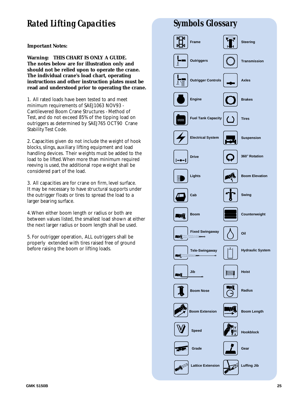# *Rated Lifting Capacities Symbols Glossary*

**Important Notes:**

**Warning: THIS CHART IS ONLY A GUIDE. The notes below are for illustration only and should not be relied upon to operate the crane. The individual crane's load chart, operating instructions and other instruction plates must be read and understood prior to operating the crane.**

1. All rated loads have been tested to and meet minimum requirements of SAEJ1063 NOV93 - Cantilevered Boom Crane Structures - Method of Test, and do not exceed 85% of the tipping load on outriggers as determined by SAEJ765 OCT90 Crane Stability Test Code.

2. Capacities given do not include the weight of hook blocks, slings, auxiliary lifting equipment and load handling devices. Their weights must be added to the load to be lifted.When more than minimum required reeving is used, the additional rope weight shall be considered part of the load.

3. All capacities are for crane on firm, level surface. It may be necessary to have structural supports under the outrigger floats or tires to spread the load to a larger bearing surface.

4.When either boom length or radius or both are between values listed, the smallest load shown at either the next larger radius or boom length shall be used.

5. For outrigger operation, ALL outriggers shall be properly extended with tires raised free of ground before raising the boom or lifting loads.